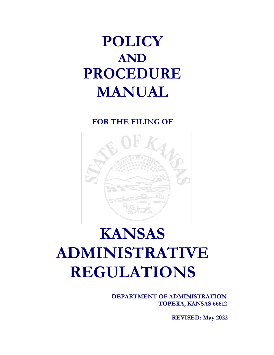# **POLICY AND PROCEDURE MANUAL**

# **FOR THE FILING OF**



# **KANSAS ADMINISTRATIVE REGULATIONS**

**DEPARTMENT OF ADMINISTRATION TOPEKA, KANSAS 66612**

**REVISED: May 2022**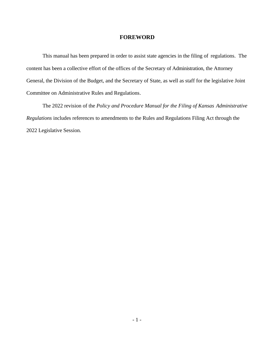#### **FOREWORD**

This manual has been prepared in order to assist state agencies in the filing of regulations. The content has been a collective effort of the offices of the Secretary of Administration, the Attorney General, the Division of the Budget, and the Secretary of State, as well as staff for the legislative Joint Committee on Administrative Rules and Regulations.

The 2022 revision of the *Policy and Procedure Manual for the Filing of Kansas Administrative Regulations* includes references to amendments to the Rules and Regulations Filing Act through the 2022 Legislative Session.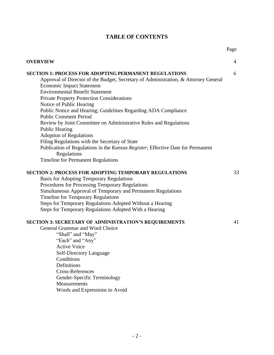## **TABLE OF CONTENTS**

Page

| <b>OVERVIEW</b>                                                                                                                                                                                                                                                                                                                                                                                                                                                                                                                                                                                                                                                                                                                                       | $\overline{4}$ |
|-------------------------------------------------------------------------------------------------------------------------------------------------------------------------------------------------------------------------------------------------------------------------------------------------------------------------------------------------------------------------------------------------------------------------------------------------------------------------------------------------------------------------------------------------------------------------------------------------------------------------------------------------------------------------------------------------------------------------------------------------------|----------------|
| <b>SECTION 1: PROCESS FOR ADOPTING PERMANENT REGULATIONS</b><br>Approval of Director of the Budget, Secretary of Administration, & Attorney General<br><b>Economic Impact Statement</b><br><b>Environmental Benefit Statement</b><br><b>Private Property Protection Considerations</b><br>Notice of Public Hearing<br>Public Notice and Hearing; Guidelines Regarding ADA Compliance<br><b>Public Comment Period</b><br>Review by Joint Committee on Administrative Rules and Regulations<br><b>Public Hearing</b><br><b>Adoption of Regulations</b><br>Filing Regulations with the Secretary of State<br>Publication of Regulations in the Kansas Register; Effective Date for Permanent<br>Regulations<br><b>Timeline for Permanent Regulations</b> | 6              |
| <b>SECTION 2: PROCESS FOR ADOPTING TEMPORARY REGULATIONS</b><br><b>Basis for Adopting Temporary Regulations</b><br>Procedures for Processing Temporary Regulations<br>Simultaneous Approval of Temporary and Permanent Regulations<br>Timeline for Temporary Regulations<br>Steps for Temporary Regulations Adopted Without a Hearing<br>Steps for Temporary Regulations Adopted With a Hearing                                                                                                                                                                                                                                                                                                                                                       | 33             |
| <b>SECTION 3: SECRETARY OF ADMINISTRATION'S REQUIREMENTS</b><br>General Grammar and Word Choice<br>"Shall" and "May"<br>"Each" and "Any"<br><b>Active Voice</b><br><b>Self-Directory Language</b><br>Conditions<br>Definitions<br><b>Cross-References</b><br>Gender-Specific Terminology<br>Measurements<br>Words and Expressions to Avoid                                                                                                                                                                                                                                                                                                                                                                                                            | 41             |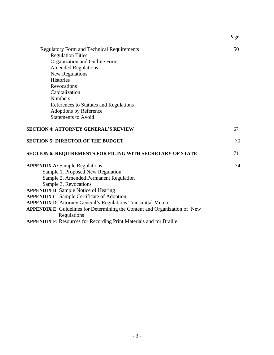|                                                                                           | Page |
|-------------------------------------------------------------------------------------------|------|
| <b>Regulatory Form and Technical Requirements</b>                                         | 50   |
| <b>Regulation Titles</b>                                                                  |      |
| Organization and Outline Form                                                             |      |
| <b>Amended Regulations</b>                                                                |      |
| New Regulations                                                                           |      |
| <b>Histories</b>                                                                          |      |
| <b>Revocations</b>                                                                        |      |
| Capitalization                                                                            |      |
| <b>Numbers</b>                                                                            |      |
| References to Statutes and Regulations                                                    |      |
| <b>Adoptions by Reference</b>                                                             |      |
| <b>Statements to Avoid</b>                                                                |      |
| <b>SECTION 4: ATTORNEY GENERAL'S REVIEW</b>                                               | 67   |
| <b>SECTION 5: DIRECTOR OF THE BUDGET</b>                                                  | 70   |
| <b>SECTION 6: REQUIREMENTS FOR FILING WITH SECRETARY OF STATE</b>                         | 71   |
| <b>APPENDIX A: Sample Regulations</b>                                                     | 74   |
| Sample 1. Proposed New Regulation                                                         |      |
| Sample 2. Amended Permanent Regulation                                                    |      |
| Sample 3. Revocations                                                                     |      |
| <b>APPENDIX B: Sample Notice of Hearing</b>                                               |      |
| <b>APPENDIX C: Sample Certificate of Adoption</b>                                         |      |
| <b>APPENDIX D:</b> Attorney General's Regulations Transmittal Memo                        |      |
| APPENDIX E: Guidelines for Determining the Content and Organization of New<br>Regulations |      |
| <b>APPENDIX F:</b> Resources for Recording Print Materials and for Braille                |      |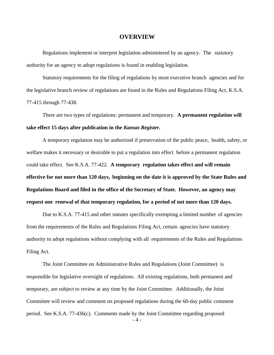#### **OVERVIEW**

Regulations implement or interpret legislation administered by an agency. The statutory authority for an agency to adopt regulations is found in enabling legislation.

Statutory requirements for the filing of regulations by most executive branch agencies and for the legislative branch review of regulations are found in the Rules and Regulations Filing Act, K.S.A. 77-415 through 77-438.

There are two types of regulations: permanent and temporary. **A permanent regulation will take effect 15 days after publication in the** *Kansas Register***.**

A temporary regulation may be authorized if preservation of the public peace, health, safety, or welfare makes it necessary or desirable to put a regulation into effect before a permanent regulation could take effect. See K.S.A. 77-422. **A temporary regulation takes effect and will remain effective for not more than 120 days, beginning on the date it is approved by the State Rules and Regulations Board and filed in the office of the Secretary of State. However, an agency may request one renewal of that temporary regulation, for a period of not more than 120 days.**

Due to K.S.A. 77-415 and other statutes specifically exempting a limited number of agencies from the requirements of the Rules and Regulations Filing Act, certain agencies have statutory authority to adopt regulations without complying with all requirements of the Rules and Regulations Filing Act.

 $-4-$ The Joint Committee on Administrative Rules and Regulations (Joint Committee) is responsible for legislative oversight of regulations. All existing regulations, both permanent and temporary, are subject to review at any time by the Joint Committee. Additionally, the Joint Committee will review and comment on proposed regulations during the 60-day public comment period. See K.S.A. 77-436(c). Comments made by the Joint Committee regarding proposed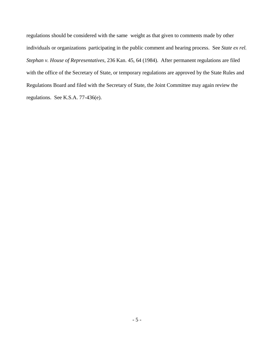regulations should be considered with the same weight as that given to comments made by other individuals or organizations participating in the public comment and hearing process. See *State ex rel. Stephan v. House of Representatives,* 236 Kan. 45, 64 (1984). After permanent regulations are filed with the office of the Secretary of State, or temporary regulations are approved by the State Rules and Regulations Board and filed with the Secretary of State, the Joint Committee may again review the regulations. See K.S.A. 77-436(e).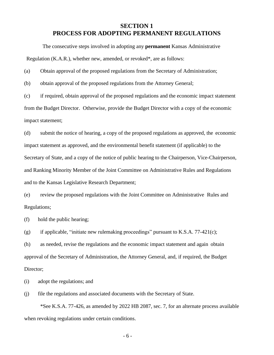#### **SECTION 1 PROCESS FOR ADOPTING PERMANENT REGULATIONS**

The consecutive steps involved in adopting any **permanent** Kansas Administrative Regulation (K.A.R.), whether new, amended, or revoked\*, are as follows:

(a) Obtain approval of the proposed regulations from the Secretary of Administration;

(b) obtain approval of the proposed regulations from the Attorney General;

(c) if required, obtain approval of the proposed regulations and the economic impact statement from the Budget Director. Otherwise, provide the Budget Director with a copy of the economic impact statement;

(d) submit the notice of hearing, a copy of the proposed regulations as approved, the economic impact statement as approved, and the environmental benefit statement (if applicable) to the Secretary of State, and a copy of the notice of public hearing to the Chairperson, Vice-Chairperson, and Ranking Minority Member of the Joint Committee on Administrative Rules and Regulations and to the Kansas Legislative Research Department;

(e) review the proposed regulations with the Joint Committee on Administrative Rules and Regulations;

(f) hold the public hearing;

(g) if applicable, "initiate new rulemaking proceedings" pursuant to K.S.A.  $77-421(c)$ ;

(h) as needed, revise the regulations and the economic impact statement and again obtain approval of the Secretary of Administration, the Attorney General, and, if required, the Budget Director;

(i) adopt the regulations; and

(j) file the regulations and associated documents with the Secretary of State.

\*See K.S.A. 77-426, as amended by 2022 HB 2087, sec. 7, for an alternate process available when revoking regulations under certain conditions.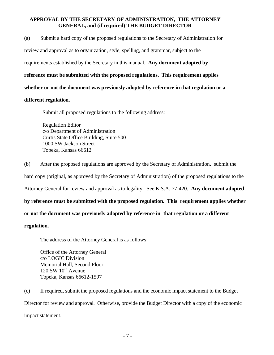#### **APPROVAL BY THE SECRETARY OF ADMINISTRATION, THE ATTORNEY GENERAL, and (if required) THE BUDGET DIRECTOR**

(a) Submit a hard copy of the proposed regulations to the Secretary of Administration for

review and approval as to organization, style, spelling, and grammar, subject to the

requirements established by the Secretary in this manual. **Any document adopted by** 

**reference must be submitted with the proposed regulations. This requirement applies** 

**whether or not the document was previously adopted by reference in that regulation or a** 

#### **different regulation.**

Submit all proposed regulations to the following address:

Regulation Editor c/o Department of Administration Curtis State Office Building, Suite 500 1000 SW Jackson Street Topeka, Kansas 66612

(b) After the proposed regulations are approved by the Secretary of Administration, submit the hard copy (original, as approved by the Secretary of Administration) of the proposed regulations to the Attorney General for review and approval as to legality. See K.S.A. 77-420. **Any document adopted by reference must be submitted with the proposed regulation. This requirement applies whether** 

**or not the document was previously adopted by reference in that regulation or a different**

#### **regulation.**

The address of the Attorney General is as follows:

Office of the Attorney General c/o LOGIC Division Memorial Hall, Second Floor  $120$  SW  $10^{th}$  Avenue Topeka, Kansas 66612-1597

(c) If required, submit the proposed regulations and the economic impact statement to the Budget Director for review and approval. Otherwise, provide the Budget Director with a copy of the economic impact statement.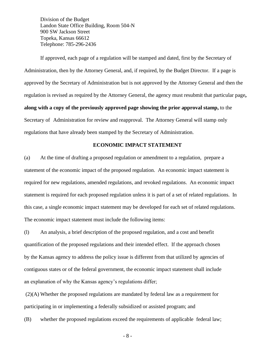Division of the Budget Landon State Office Building, Room 504-N 900 SW Jackson Street Topeka, Kansas 66612 Telephone: 785-296-2436

If approved, each page of a regulation will be stamped and dated, first by the Secretary of Administration, then by the Attorney General, and, if required, by the Budget Director. If a page is approved by the Secretary of Administration but is not approved by the Attorney General and then the regulation is revised as required by the Attorney General, the agency must resubmit that particular page**, along with a copy of the previously approved page showing the prior approval stamp,** to the Secretary of Administration for review and reapproval. The Attorney General will stamp only regulations that have already been stamped by the Secretary of Administration.

#### **ECONOMIC IMPACT STATEMENT**

(a) At the time of drafting a proposed regulation or amendment to a regulation, prepare a statement of the economic impact of the proposed regulation. An economic impact statement is required for new regulations, amended regulations, and revoked regulations. An economic impact statement is required for each proposed regulation unless it is part of a set of related regulations. In this case, a single economic impact statement may be developed for each set of related regulations. The economic impact statement must include the following items:

(l) An analysis, a brief description of the proposed regulation, and a cost and benefit quantification of the proposed regulations and their intended effect. If the approach chosen by the Kansas agency to address the policy issue is different from that utilized by agencies of contiguous states or of the federal government, the economic impact statement shall include an explanation of why the Kansas agency's regulations differ;

(2)(A) Whether the proposed regulations are mandated by federal law as a requirement for participating in or implementing a federally subsidized or assisted program; and

(B) whether the proposed regulations exceed the requirements of applicable federal law;

- 8 -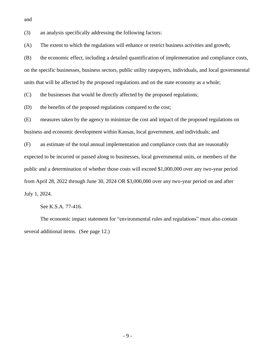and

(3) an analysis specifically addressing the following factors:

(A) The extent to which the regulations will enhance or restrict business activities and growth;

(B) the economic effect, including a detailed quantification of implementation and compliance costs, on the specific businesses, business sectors, public utility ratepayers, individuals, and local governmental units that will be affected by the proposed regulations and on the state economy as a whole;

(C) the businesses that would be directly affected by the proposed regulations;

(D) the benefits of the proposed regulations compared to the cost;

(E) measures taken by the agency to minimize the cost and impact of the proposed regulations on business and economic development within Kansas, local government, and individuals; and

(F) an estimate of the total annual implementation and compliance costs that are reasonably expected to be incurred or passed along to businesses, local governmental units, or members of the public and a determination of whether those costs will exceed \$1,000,000 over any two-year period from April 28, 2022 through June 30, 2024 OR \$3,000,000 over any two-year period on and after July 1, 2024.

See K.S.A. 77-416.

The economic impact statement for "environmental rules and regulations" must also contain several additional items. (See page 12.)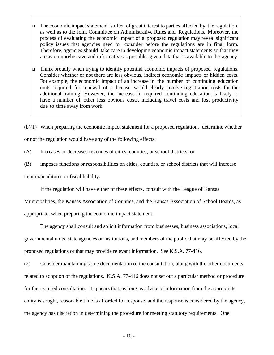- ❑ The economic impact statement is often of great interest to parties affected by the regulation, as well as to the Joint Committee on Administrative Rules and Regulations. Moreover, the process of evaluating the economic impact of a proposed regulation may reveal significant policy issues that agencies need to consider before the regulations are in final form. Therefore, agencies should take care in developing economic impact statements so that they are as comprehensive and informative as possible, given data that is available to the agency.
- ❑ Think broadly when trying to identify potential economic impacts of proposed regulations. Consider whether or not there are less obvious, indirect economic impacts or hidden costs. For example, the economic impact of an increase in the number of continuing education units required for renewal of a license would clearly involve registration costs for the additional training. However, the increase in required continuing education is likely to have a number of other less obvious costs, including travel costs and lost productivity due to time away from work.

(b)(1) When preparing the economic impact statement for a proposed regulation, determine whether or not the regulation would have any of the following effects:

- (A) Increases or decreases revenues of cities, counties, or school districts; or
- (B) imposes functions or responsibilities on cities, counties, or school districts that will increase

their expenditures or fiscal liability.

If the regulation will have either of these effects, consult with the League of Kansas

Municipalities, the Kansas Association of Counties, and the Kansas Association of School Boards, as appropriate, when preparing the economic impact statement.

The agency shall consult and solicit information from businesses, business associations, local governmental units, state agencies or institutions, and members of the public that may be affected by the proposed regulations or that may provide relevant information. See K.S.A. 77-416.

(2) Consider maintaining some documentation of the consultation, along with the other documents related to adoption of the regulations. K.S.A. 77-416 does not set out a particular method or procedure for the required consultation. It appears that, as long as advice or information from the appropriate entity is sought, reasonable time is afforded for response, and the response is considered by the agency, the agency has discretion in determining the procedure for meeting statutory requirements. One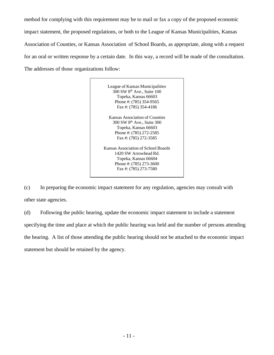method for complying with this requirement may be to mail or fax a copy of the proposed economic impact statement, the proposed regulations, or both to the League of Kansas Municipalities, Kansas Association of Counties, or Kansas Association of School Boards, as appropriate, along with a request for an oral or written response by a certain date. In this way, a record will be made of the consultation. The addresses of those organizations follow:

> League of Kansas Municipalities 300 SW 8 th Ave., Suite 100 Topeka, Kansas 66603 Phone #: (785) 354-9565 Fax #: (785) 354-4186 Kansas Association of Counties 300 SW 8 th Ave., Suite 300 Topeka, Kansas 66603 Phone #: (785) 272-2585 Fax #: (785) 272-3585 Kansas Association of School Boards 1420 SW Arrowhead Rd. Topeka, Kansas 66604 Phone #: (785) 273-3600 Fax #: (785) 273-7580

(c) In preparing the economic impact statement for any regulation, agencies may consult with other state agencies.

(d) Following the public hearing, update the economic impact statement to include a statement specifying the time and place at which the public hearing was held and the number of persons attending the hearing. A list of those attending the public hearing should not be attached to the economic impact statement but should be retained by the agency.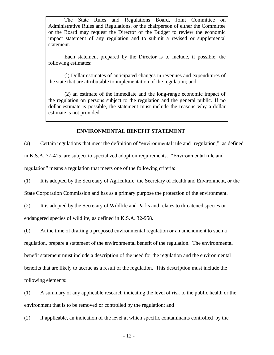The State Rules and Regulations Board, Joint Committee on Administrative Rules and Regulations, or the chairperson of either the Committee or the Board may request the Director of the Budget to review the economic impact statement of any regulation and to submit a revised or supplemental statement.

Each statement prepared by the Director is to include, if possible, the following estimates:

(l) Dollar estimates of anticipated changes in revenues and expenditures of the state that are attributable to implementation of the regulation; and

(2) an estimate of the immediate and the long-range economic impact of the regulation on persons subject to the regulation and the general public. If no dollar estimate is possible, the statement must include the reasons why a dollar estimate is not provided.

#### **ENVIRONMENTAL BENEFIT STATEMENT**

(a) Certain regulations that meet the definition of "environmental rule and regulation," as defined

in K.S.A. 77-415, are subject to specialized adoption requirements. "Environmental rule and

regulation" means a regulation that meets one of the following criteria:

(1) It is adopted by the Secretary of Agriculture, the Secretary of Health and Environment, or the

State Corporation Commission and has as a primary purpose the protection of the environment.

(2) It is adopted by the Secretary of Wildlife and Parks and relates to threatened species or

endangered species of wildlife, as defined in K.S.A. 32-958.

(b) At the time of drafting a proposed environmental regulation or an amendment to such a regulation, prepare a statement of the environmental benefit of the regulation. The environmental benefit statement must include a description of the need for the regulation and the environmental benefits that are likely to accrue as a result of the regulation. This description must include the following elements:

(1) A summary of any applicable research indicating the level of risk to the public health or the environment that is to be removed or controlled by the regulation; and

(2) if applicable, an indication of the level at which specific contaminants controlled by the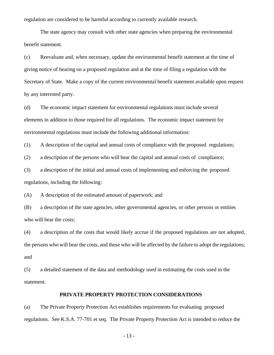regulation are considered to be harmful according to currently available research.

The state agency may consult with other state agencies when preparing the environmental benefit statement.

(c) Reevaluate and, when necessary, update the environmental benefit statement at the time of giving notice of hearing on a proposed regulation and at the time of filing a regulation with the Secretary of State. Make a copy of the current environmental benefit statement available upon request by any interested party.

(d) The economic impact statement for environmental regulations must include several elements in addition to those required for all regulations. The economic impact statement for environmental regulations must include the following additional information:

(1) A description of the capital and annual costs of compliance with the proposed regulations;

(2) a description of the persons who will bear the capital and annual costs of compliance;

(3) a description of the initial and annual costs of implementing and enforcing the proposed regulations, including the following:

(A) A description of the estimated amount of paperwork; and

(B) a description of the state agencies, other governmental agencies, or other persons or entities who will bear the costs;

(4) a description of the costs that would likely accrue if the proposed regulations are not adopted, the persons who will bear the costs, and those who will be affected by the failure to adopt the regulations; and

(5) a detailed statement of the data and methodology used in estimating the costs used in the statement.

#### **PRIVATE PROPERTY PROTECTION CONSIDERATIONS**

(a) The Private Property Protection Act establishes requirements for evaluating proposed regulations. See K.S.A. 77-701 et seq. The Private Property Protection Act is intended to reduce the

- 13 -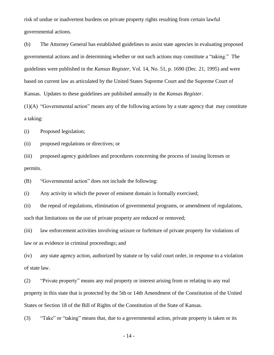risk of undue or inadvertent burdens on private property rights resulting from certain lawful governmental actions.

(b) The Attorney General has established guidelines to assist state agencies in evaluating proposed governmental actions and in determining whether or not such actions may constitute a "taking." The guidelines were published in the *Kansas Register*, Vol. 14, No. 51, p. 1690 (Dec. 21, 1995) and were based on current law as articulated by the United States Supreme Court and the Supreme Court of Kansas. Updates to these guidelines are published annually in the *Kansas Register*.

(1)(A) "Governmental action" means any of the following actions by a state agency that may constitute a taking:

(i) Proposed legislation;

(ii) proposed regulations or directives; or

(iii) proposed agency guidelines and procedures concerning the process of issuing licenses or permits.

(B) "Governmental action" does not include the following:

(i) Any activity in which the power of eminent domain is formally exercised;

(ii) the repeal of regulations, elimination of governmental programs, or amendment of regulations, such that limitations on the use of private property are reduced or removed;

(iii) law enforcement activities involving seizure or forfeiture of private property for violations of law or as evidence in criminal proceedings; and

(iv) any state agency action, authorized by statute or by valid court order, in response to a violation of state law.

(2) "Private property" means any real property or interest arising from or relating to any real property in this state that is protected by the 5th or 14th Amendment of the Constitution of the United States or Section 18 of the Bill of Rights of the Constitution of the State of Kansas.

(3) "Take" or "taking" means that, due to a governmental action, private property is taken or its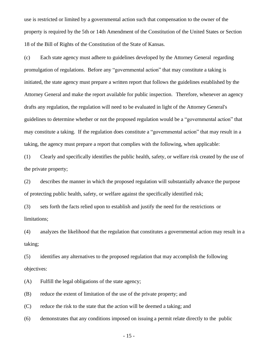use is restricted or limited by a governmental action such that compensation to the owner of the property is required by the 5th or 14th Amendment of the Constitution of the United States or Section 18 of the Bill of Rights of the Constitution of the State of Kansas.

(c) Each state agency must adhere to guidelines developed by the Attorney General regarding promulgation of regulations. Before any "governmental action" that may constitute a taking is initiated, the state agency must prepare a written report that follows the guidelines established by the Attorney General and make the report available for public inspection. Therefore, whenever an agency drafts any regulation, the regulation will need to be evaluated in light of the Attorney General's guidelines to determine whether or not the proposed regulation would be a "governmental action" that may constitute a taking. If the regulation does constitute a "governmental action" that may result in a taking, the agency must prepare a report that complies with the following, when applicable:

(1) Clearly and specifically identifies the public health, safety, or welfare risk created by the use of the private property;

(2) describes the manner in which the proposed regulation will substantially advance the purpose of protecting public health, safety, or welfare against the specifically identified risk;

(3) sets forth the facts relied upon to establish and justify the need for the restrictions or limitations;

(4) analyzes the likelihood that the regulation that constitutes a governmental action may result in a taking;

(5) identifies any alternatives to the proposed regulation that may accomplish the following objectives:

(A) Fulfill the legal obligations of the state agency;

(B) reduce the extent of limitation of the use of the private property; and

(C) reduce the risk to the state that the action will be deemed a taking; and

(6) demonstrates that any conditions imposed on issuing a permit relate directly to the public

- 15 -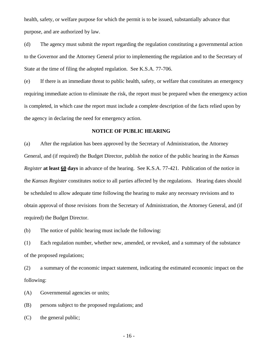health, safety, or welfare purpose for which the permit is to be issued, substantially advance that purpose, and are authorized by law.

(d) The agency must submit the report regarding the regulation constituting a governmental action to the Governor and the Attorney General prior to implementing the regulation and to the Secretary of State at the time of filing the adopted regulation. See K.S.A. 77-706.

(e) If there is an immediate threat to public health, safety, or welfare that constitutes an emergency requiring immediate action to eliminate the risk, the report must be prepared when the emergency action is completed, in which case the report must include a complete description of the facts relied upon by the agency in declaring the need for emergency action.

#### **NOTICE OF PUBLIC HEARING**

(a) After the regulation has been approved by the Secretary of Administration, the Attorney General, and (if required) the Budget Director, publish the notice of the public hearing in the *Kansas Register* **at least 60 days** in advance of the hearing. See K.S.A. 77-421. Publication of the notice in the *Kansas Register* constitutes notice to all parties affected by the regulations. Hearing dates should be scheduled to allow adequate time following the hearing to make any necessary revisions and to obtain approval of those revisions from the Secretary of Administration, the Attorney General, and (if required) the Budget Director.

(b) The notice of public hearing must include the following:

(1) Each regulation number, whether new, amended, or revoked, and a summary of the substance of the proposed regulations;

(2) a summary of the economic impact statement, indicating the estimated economic impact on the following:

(A) Governmental agencies or units;

(B) persons subject to the proposed regulations; and

(C) the general public;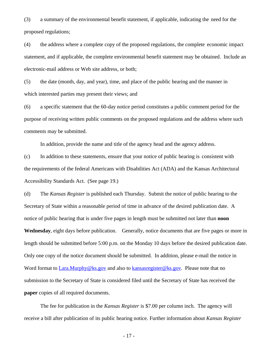(3) a summary of the environmental benefit statement, if applicable, indicating the need for the proposed regulations;

(4) the address where a complete copy of the proposed regulations, the complete economic impact statement, and if applicable, the complete environmental benefit statement may be obtained. Include an electronic-mail address or Web site address, or both;

(5) the date (month, day, and year), time, and place of the public hearing and the manner in which interested parties may present their views; and

(6) a specific statement that the 60-day notice period constitutes a public comment period for the purpose of receiving written public comments on the proposed regulations and the address where such comments may be submitted.

In addition, provide the name and title of the agency head and the agency address.

(c) In addition to these statements, ensure that your notice of public hearing is consistent with the requirements of the federal Americans with Disabilities Act (ADA) and the Kansas Architectural Accessibility Standards Act. (See page 19.)

(d) The *Kansas Register* is published each Thursday. Submit the notice of public hearing to the Secretary of State within a reasonable period of time in advance of the desired publication date. A notice of public hearing that is under five pages in length must be submitted not later than **noon Wednesday**, eight days before publication. Generally, notice documents that are five pages or more in length should be submitted before 5:00 p.m. on the Monday 10 days before the desired publication date. Only one copy of the notice document should be submitted. In addition, please e-mail the notice in Word format to Lara.Murphy@ks.gov and also to [kansasregister@ks.gov.](mailto:kansasregister@ks.gov) Please note that no submission to the Secretary of State is considered filed until the Secretary of State has received the **paper** copies of all required documents.

The fee for publication in the *Kansas Register* is \$7.00 per column inch. The agency will receive a bill after publication of its public hearing notice. Further information about *Kansas Register*

- 17 -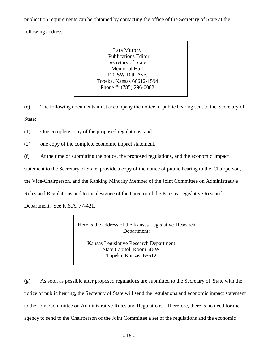publication requirements can be obtained by contacting the office of the Secretary of State at the

following address:

Lara Murphy Publications Editor Secretary of State Memorial Hall 120 SW 10th Ave. Topeka, Kansas 66612-1594 Phone #: (785) 296-0082

(e) The following documents must accompany the notice of public hearing sent to the Secretary of State:

(1) One complete copy of the proposed regulations; and

(2) one copy of the complete economic impact statement.

(f) At the time of submitting the notice, the proposed regulations, and the economic impact

statement to the Secretary of State, provide a copy of the notice of public hearing to the Chairperson,

the Vice-Chairperson, and the Ranking Minority Member of the Joint Committee on Administrative

Rules and Regulations and to the designee of the Director of the Kansas Legislative Research

Department. See K.S.A. 77-421.

Here is the address of the Kansas Legislative Research Department:

Kansas Legislative Research Department State Capitol, Room 68-W Topeka, Kansas 66612

(g) As soon as possible after proposed regulations are submitted to the Secretary of State with the notice of public hearing, the Secretary of State will send the regulations and economic impact statement to the Joint Committee on Administrative Rules and Regulations. Therefore, there is no need for the agency to send to the Chairperson of the Joint Committee a set of the regulations and the economic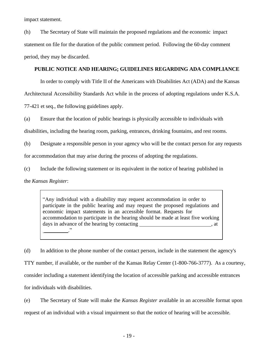impact statement.

(h) The Secretary of State will maintain the proposed regulations and the economic impact statement on file for the duration of the public comment period. Following the 60-day comment period, they may be discarded.

#### **PUBLIC NOTICE AND HEARING; GUIDELINES REGARDING ADA COMPLIANCE**

In order to comply with Title II of the Americans with Disabilities Act (ADA) and the Kansas Architectural Accessibility Standards Act while in the process of adopting regulations under K.S.A. 77-421 et seq., the following guidelines apply.

(a) Ensure that the location of public hearings is physically accessible to individuals with

disabilities, including the hearing room, parking, entrances, drinking fountains, and rest rooms.

(b) Designate a responsible person in your agency who will be the contact person for any requests for accommodation that may arise during the process of adopting the regulations.

(c) Include the following statement or its equivalent in the notice of hearing published in

the *Kansas Register*:

"Any individual with a disability may request accommodation in order to participate in the public hearing and may request the proposed regulations and economic impact statements in an accessible format. Requests for accommodation to participate in the hearing should be made at least five working days in advance of the hearing by contacting  $\qquad \qquad$ , at \_\_\_\_\_\_\_\_\_."

(d) In addition to the phone number of the contact person, include in the statement the agency's

TTY number, if available, or the number of the Kansas Relay Center (1-800-766-3777). As a courtesy, consider including a statement identifying the location of accessible parking and accessible entrances

for individuals with disabilities.

(e) The Secretary of State will make the *Kansas Register* available in an accessible format upon request of an individual with a visual impairment so that the notice of hearing will be accessible.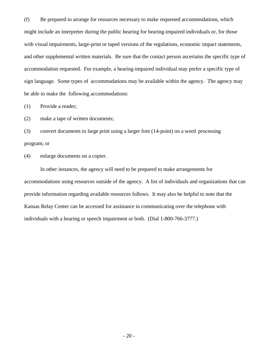(f) Be prepared to arrange for resources necessary to make requested accommodations, which might include an interpreter during the public hearing for hearing-impaired individuals or, for those with visual impairments, large-print or taped versions of the regulations, economic impact statements, and other supplemental written materials. Be sure that the contact person ascertains the specific type of accommodation requested. For example, a hearing-impaired individual may prefer a specific type of sign language. Some types of accommodations may be available within the agency. The agency may be able to make the following accommodations:

(1) Provide a reader;

(2) make a tape of written documents;

(3) convert documents to large print using a larger font (14-point) on a word processing program; or

(4) enlarge documents on a copier.

In other instances, the agency will need to be prepared to make arrangements for accommodations using resources outside of the agency. A list of individuals and organizations that can provide information regarding available resources follows. It may also be helpful to note that the Kansas Relay Center can be accessed for assistance in communicating over the telephone with individuals with a hearing or speech impairment or both. (Dial 1-800-766-3777.)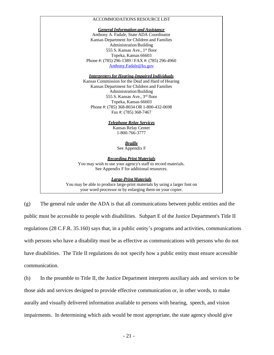#### ACCOMMODATIONS RESOURCE LIST

*General Informationand Assistance*

Anthony A.Fadale, State ADA Coordinator Kansas Department for Children and Families Administration Building 555 S. Kansas Ave., 1 st floor Topeka, Kansas 66603 Phone #: (785) 296-1389 / FAX #: (785) 296-4960 [Anthony.Fadale@ks.gov](mailto:Anthony.Fadale@ks.gov)

*Interpreters for Hearing-Impaired Individuals*

Kansas Commission for the Deaf and Hard of Hearing Kansas Department for Children and Families Administration Building 555 S. Kansas Ave., 3 rd floor Topeka, Kansas 66603 Phone #: (785) 368-8034 OR 1-800-432-0698 Fax #: (785) 368-7467

> *Telephone Relay Services* Kansas Relay Center 1-800-766-3777

> > *Braille* See Appendix F

*Recording Print Materials* You may wish to use your agency's staff to record materials. See Appendix Ffor additional resources.

*Large-PrintMaterials*

You may be able to produce large-print materials by using a larger font on your word processor or by enlarging them on your copier.

(g) The general rule under the ADA is that all communications between public entities and the public must be accessible to people with disabilities. Subpart E of the Justice Department's Title II regulations (28 C.F.R. 35.160) says that, in a public entity's programs and activities, communications with persons who have a disability must be as effective as communications with persons who do not have disabilities. The Title II regulations do not specify how a public entity must ensure accessible communication.

(h) In the preamble to Title II, the Justice Department interprets auxiliary aids and services to be those aids and services designed to provide effective communication or, in other words, to make aurally and visually delivered information available to persons with hearing, speech, and vision impairments. In determining which aids would be most appropriate, the state agency should give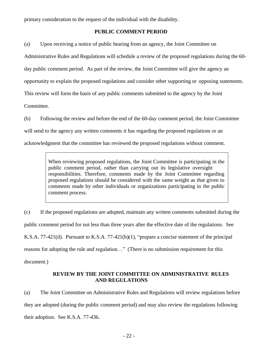primary consideration to the request of the individual with the disability.

#### **PUBLIC COMMENT PERIOD**

(a) Upon receiving a notice of public hearing from an agency, the Joint Committee on

Administrative Rules and Regulations will schedule a review of the proposed regulations during the 60-

day public comment period. As part of the review, the Joint Committee will give the agency an

opportunity to explain the proposed regulations and consider other supporting or opposing statements.

This review will form the basis of any public comments submitted to the agency by the Joint

Committee.

(b) Following the review and before the end of the 60-day comment period, the Joint Committee will send to the agency any written comments it has regarding the proposed regulations or an acknowledgment that the committee has reviewed the proposed regulations without comment.

> When reviewing proposed regulations, the Joint Committee is participating in the public comment period, rather than carrying out its legislative oversight responsibilities. Therefore, comments made by the Joint Committee regarding proposed regulations should be considered with the same weight as that given to comments made by other individuals or organizations participating in the public comment process.

(c) If the proposed regulations are adopted, maintain any written comments submitted during the public comment period for not less than three years after the effective date of the regulations. See K.S.A. 77-421(d). Pursuant to K.S.A. 77-421(b)(1), "prepare a concise statement of the principal reasons for adopting the rule and regulation…" (There is no submission requirement for this document.)

#### **REVIEW BY THE JOINT COMMITTEE ON ADMINISTRATIVE RULES AND REGULATIONS**

(a) The Joint Committee on Administrative Rules and Regulations will review regulations before they are adopted (during the public comment period) and may also review the regulations following their adoption. See K.S.A. 77-436.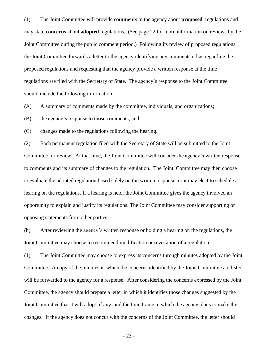(1) The Joint Committee will provide **comments** to the agency about **proposed** regulations and may state **concerns** about **adopted** regulations. (See page 22 for more information on reviews by the Joint Committee during the public comment period.) Following its review of proposed regulations, the Joint Committee forwards a letter to the agency identifying any comments it has regarding the proposed regulations and requesting that the agency provide a written response at the time regulations are filed with the Secretary of State. The agency's response to the Joint Committee should include the following information:

(A) A summary of comments made by the committee, individuals, and organizations;

(B) the agency's response to those comments; and

(C) changes made to the regulations following the hearing.

(2) Each permanent regulation filed with the Secretary of State will be submitted to the Joint Committee for review. At that time, the Joint Committee will consider the agency's written response to comments and its summary of changes to the regulation. The Joint Committee may then choose to evaluate the adopted regulation based solely on the written response, or it may elect to schedule a hearing on the regulations. If a hearing is held, the Joint Committee gives the agency involved an opportunity to explain and justify its regulations. The Joint Committee may consider supporting or opposing statements from other parties.

(b) After reviewing the agency's written response or holding a hearing on the regulations, the Joint Committee may choose to recommend modification or revocation of a regulation.

(1) The Joint Committee may choose to express its concerns through minutes adopted by the Joint Committee. A copy of the minutes in which the concerns identified by the Joint Committee are listed will be forwarded to the agency for a response. After considering the concerns expressed by the Joint Committee, the agency should prepare a letter in which it identifies those changes suggested by the Joint Committee that it will adopt, if any, and the time frame in which the agency plans to make the changes. If the agency does not concur with the concerns of the Joint Committee, the letter should

- 23 -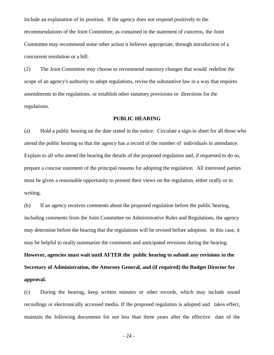include an explanation of its position. If the agency does not respond positively to the recommendations of the Joint Committee, as contained in the statement of concerns, the Joint Committee may recommend some other action it believes appropriate, through introduction of a concurrent resolution or a bill.

(2) The Joint Committee may choose to recommend statutory changes that would redefine the scope of an agency's authority to adopt regulations, revise the substantive law in a way that requires amendments to the regulations, or establish other statutory provisions or directions for the regulations.

#### **PUBLIC HEARING**

(a) Hold a public hearing on the date stated in the notice. Circulate a sign-in sheet for all those who attend the public hearing so that the agency has a record of the number of individuals in attendance. Explain to all who attend the hearing the details of the proposed regulation and, if requested to do so, prepare a concise statement of the principal reasons for adopting the regulation. All interested parties must be given a reasonable opportunity to present their views on the regulation, either orally or in writing.

(b) If an agency receives comments about the proposed regulation before the public hearing, including comments from the Joint Committee on Administrative Rules and Regulations, the agency may determine before the hearing that the regulations will be revised before adoption. In this case, it may be helpful to orally summarize the comments and anticipated revisions during the hearing.

**However, agencies must wait until AFTER the public hearing to submit any revisions to the Secretary of Administration, the Attorney General, and (if required) the Budget Director for approval.**

(c) During the hearing, keep written minutes or other records, which may include sound recordings or electronically accessed media. If the proposed regulation is adopted and takes effect, maintain the following documents for not less than three years after the effective date of the

- 24 -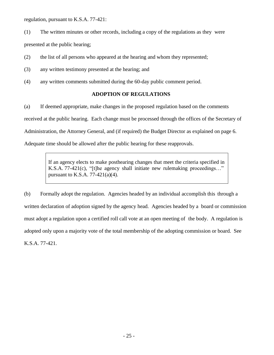regulation, pursuant to K.S.A. 77-421:

- (1) The written minutes or other records, including a copy of the regulations as they were presented at the public hearing;
- (2) the list of all persons who appeared at the hearing and whom they represented;
- (3) any written testimony presented at the hearing; and
- (4) any written comments submitted during the 60-day public comment period.

#### **ADOPTION OF REGULATIONS**

(a) If deemed appropriate, make changes in the proposed regulation based on the comments received at the public hearing. Each change must be processed through the offices of the Secretary of Administration, the Attorney General, and (if required) the Budget Director as explained on page 6. Adequate time should be allowed after the public hearing for these reapprovals.

> If an agency elects to make posthearing changes that meet the criteria specified in K.S.A. 77-421(c), "[t]he agency shall initiate new rulemaking proceedings…" pursuant to K.S.A.  $77-421(a)(4)$ .

(b) Formally adopt the regulation. Agencies headed by an individual accomplish this through a written declaration of adoption signed by the agency head. Agencies headed by a board or commission must adopt a regulation upon a certified roll call vote at an open meeting of the body. A regulation is adopted only upon a majority vote of the total membership of the adopting commission or board. See K.S.A. 77-421.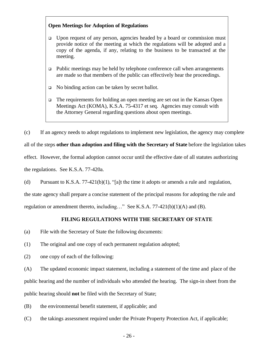#### **Open Meetings for Adoption of Regulations**

- ❑ Upon request of any person, agencies headed by a board or commission must provide notice of the meeting at which the regulations will be adopted and a copy of the agenda, if any, relating to the business to be transacted at the meeting.
- ❑ Public meetings may be held by telephone conference call when arrangements are made so that members of the public can effectively hear the proceedings.
- ❑ No binding action can be taken by secret ballot.
- ❑ The requirements for holding an open meeting are set out in the Kansas Open Meetings Act (KOMA), K.S.A. 75-4317 et seq. Agencies may consult with the Attorney General regarding questions about open meetings.

(c) If an agency needs to adopt regulations to implement new legislation, the agency may complete all of the steps **other than adoption and filing with the Secretary of State** before the legislation takes effect. However, the formal adoption cannot occur until the effective date of all statutes authorizing the regulations. See K.S.A. 77-420a.

(d) Pursuant to K.S.A. 77-421(b)(1), "[a]t the time it adopts or amends a rule and regulation,

the state agency shall prepare a concise statement of the principal reasons for adopting the rule and

regulation or amendment thereto, including…" See K.S.A. 77-421(b)(1)(A) and (B).

#### **FILING REGULATIONS WITH THE SECRETARY OF STATE**

- (a) File with the Secretary of State the following documents:
- (1) The original and one copy of each permanent regulation adopted;
- (2) one copy of each of the following:

(A) The updated economic impact statement, including a statement of the time and place of the public hearing and the number of individuals who attended the hearing. The sign-in sheet from the public hearing should **not** be filed with the Secretary of State;

- (B) the environmental benefit statement, if applicable; and
- (C) the takings assessment required under the Private Property Protection Act, if applicable;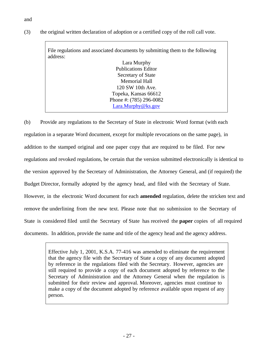(3) the original written declaration of adoption or a certified copy of the roll call vote.

File regulations and associated documents by submitting them to the following address: Lara Murphy Publications Editor Secretary of State Memorial Hall 120 SW 10th Ave. Topeka, Kansas 66612 Phone #: (785) 296-0082 [Lara.Murphy@ks.gov](mailto:Lara.Murphy@ks.gov)

(b) Provide any regulations to the Secretary of State in electronic Word format (with each regulation in a separate Word document, except for multiple revocations on the same page), in addition to the stamped original and one paper copy that are required to be filed. For new regulations and revoked regulations, be certain that the version submitted electronically is identical to the version approved by the Secretary of Administration, the Attorney General, and (if required) the Budget Director, formally adopted by the agency head, and filed with the Secretary of State. However, in the electronic Word document for each **amended** regulation, delete the stricken text and remove the underlining from the new text. Please note that no submission to the Secretary of State is considered filed until the Secretary of State has received the **paper** copies of all required documents. In addition, provide the name and title of the agency head and the agency address.

> Effective July 1, 2001, K.S.A. 77-416 was amended to eliminate the requirement that the agency file with the Secretary of State a copy of any document adopted by reference in the regulations filed with the Secretary. However, agencies are still required to provide a copy of each document adopted by reference to the Secretary of Administration and the Attorney General when the regulation is submitted for their review and approval. Moreover, agencies must continue to make a copy of the document adopted by reference available upon request of any person.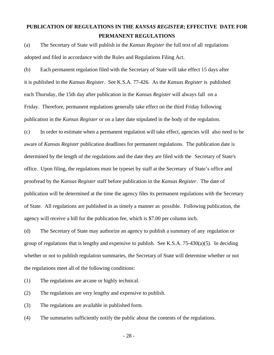### **PUBLICATION OF REGULATIONS IN THE** *KANSAS REGISTER***; EFFECTIVE DATE FOR PERMANENT REGULATIONS**

(a) The Secretary of State will publish in the *Kansas Register* the full text of all regulations adopted and filed in accordance with the Rules and Regulations Filing Act.

(b) Each permanent regulation filed with the Secretary of State will take effect 15 days after it is published in the *Kansas Register*. See K.S.A. 77-426. As the *Kansas Register* is published each Thursday, the 15th day after publication in the *Kansas Register* will always fall on a Friday. Therefore, permanent regulations generally take effect on the third Friday following publication in the *Kansas Register* or on a later date stipulated in the body of the regulation.

(c) In order to estimate when a permanent regulation will take effect, agencies will also need to be aware of *Kansas Register* publication deadlines for permanent regulations. The publication date is determined by the length of the regulations and the date they are filed with the Secretary of State's office. Upon filing, the regulations must be typeset by staff at the Secretary of State's office and proofread by the *Kansas Register* staff before publication in the *Kansas Register*. The date of publication will be determined at the time the agency files its permanent regulations with the Secretary of State. All regulations are published in as timely a manner as possible. Following publication, the agency will receive a bill for the publication fee, which is \$7.00 per column inch.

(d) The Secretary of State may authorize an agency to publish a summary of any regulation or group of regulations that is lengthy and expensive to publish. See K.S.A. 75-430(a)(5). In deciding whether or not to publish regulation summaries, the Secretary of State will determine whether or not the regulations meet all of the following conditions:

(1) The regulations are arcane or highly technical.

(2) The regulations are very lengthy and expensive to publish.

(3) The regulations are available in published form.

(4) The summaries sufficiently notify the public about the contents of the regulations.

- 28 -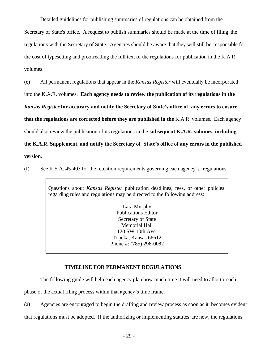Detailed guidelines for publishing summaries of regulations can be obtained from the Secretary of State's office. A request to publish summaries should be made at the time of filing the regulations with the Secretary of State. Agencies should be aware that they will still be responsible for the cost of typesetting and proofreading the full text of the regulations for publication in the K.A.R. volumes.

(e) All permanent regulations that appear in the *Kansas Register* will eventually be incorporated

into the K.A.R. volumes. **Each agency needs to review the publication of its regulations in the**

*Kansas Register* **for accuracy and notify the Secretary of State's office of any errors to ensure** 

**that the regulations are corrected before they are published in the** K.A.R. volumes. Each agency

should also review the publication of its regulations in the **subsequent K.A.R. volumes, including** 

**the K.A.R. Supplement, and notify the Secretary of State's office of any errors in the published version.**

(f) See K.S.A. 45-403 for the retention requirements governing each agency's regulations.

Questions about *Kansas Register* publication deadlines, fees, or other policies regarding rules and regulations may be directed to the following address:

> Lara Murphy Publications Editor Secretary of State Memorial Hall 120 SW 10th Ave. Topeka, Kansas 66612 Phone #: (785) 296-0082

#### **TIMELINE FOR PERMANENT REGULATIONS**

The following guide will help each agency plan how much time it will need to allot to each phase of the actual filing process within that agency's time frame.

(a) Agencies are encouraged to begin the drafting and review process as soon as it becomes evident that regulations must be adopted. If the authorizing or implementing statutes are new, the regulations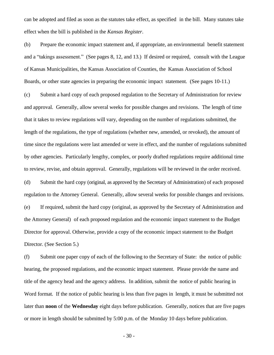can be adopted and filed as soon as the statutes take effect, as specified in the bill. Many statutes take effect when the bill is published in the *Kansas Register*.

(b) Prepare the economic impact statement and, if appropriate, an environmental benefit statement and a "takings assessment." (See pages 8, 12, and 13.) If desired or required, consult with the League of Kansas Municipalities, the Kansas Association of Counties, the Kansas Association of School Boards, or other state agencies in preparing the economic impact statement. (See pages 10-11.)

(c) Submit a hard copy of each proposed regulation to the Secretary of Administration for review and approval. Generally, allow several weeks for possible changes and revisions. The length of time that it takes to review regulations will vary, depending on the number of regulations submitted, the length of the regulations, the type of regulations (whether new, amended, or revoked), the amount of time since the regulations were last amended or were in effect, and the number of regulations submitted by other agencies. Particularly lengthy, complex, or poorly drafted regulations require additional time to review, revise, and obtain approval. Generally, regulations will be reviewed in the order received.

(d) Submit the hard copy (original, as approved by the Secretary of Administration) of each proposed regulation to the Attorney General. Generally, allow several weeks for possible changes and revisions. (e) If required, submit the hard copy (original, as approved by the Secretary of Administration and the Attorney General) of each proposed regulation and the economic impact statement to the Budget Director for approval. Otherwise, provide a copy of the economic impact statement to the Budget Director. (See Section 5.)

(f) Submit one paper copy of each of the following to the Secretary of State: the notice of public hearing, the proposed regulations, and the economic impact statement. Please provide the name and title of the agency head and the agency address. In addition, submit the notice of public hearing in Word format. If the notice of public hearing is less than five pages in length, it must be submitted not later than **noon** of the **Wednesday** eight days before publication. Generally, notices that are five pages or more in length should be submitted by 5:00 p.m. of the Monday 10 days before publication.

- 30 -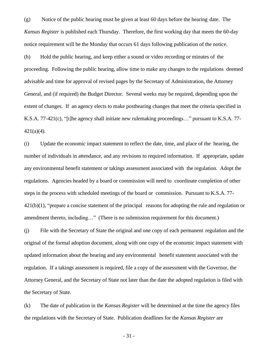(g) Notice of the public hearing must be given at least 60 days before the hearing date. The *Kansas Register* is published each Thursday. Therefore, the first working day that meets the 60-day notice requirement will be the Monday that occurs 61 days following publication of the notice.

(h) Hold the public hearing, and keep either a sound or video recording or minutes of the proceeding. Following the public hearing, allow time to make any changes to the regulations deemed advisable and time for approval of revised pages by the Secretary of Administration, the Attorney General, and (if required) the Budget Director. Several weeks may be required, depending upon the extent of changes. If an agency elects to make posthearing changes that meet the criteria specified in K.S.A. 77-421(c), "[t]he agency shall initiate new rulemaking proceedings…" pursuant to K.S.A. 77-  $421(a)(4)$ .

(i) Update the economic impact statement to reflect the date, time, and place of the hearing, the number of individuals in attendance, and any revisions to required information. If appropriate, update any environmental benefit statement or takings assessment associated with the regulation. Adopt the regulations. Agencies headed by a board or commission will need to coordinate completion of other steps in the process with scheduled meetings of the board or commission. Pursuant to K.S.A. 77-  $421(b)(1)$ , "prepare a concise statement of the principal reasons for adopting the rule and regulation or amendment thereto, including…" (There is no submission requirement for this document.)

(j) File with the Secretary of State the original and one copy of each permanent regulation and the original of the formal adoption document, along with one copy of the economic impact statement with updated information about the hearing and any environmental benefit statement associated with the regulation. If a takings assessment is required, file a copy of the assessment with the Governor, the Attorney General, and the Secretary of State not later than the date the adopted regulation is filed with the Secretary of State.

(k) The date of publication in the *Kansas Register* will be determined at the time the agency files the regulations with the Secretary of State. Publication deadlines for the *Kansas Register* are

- 31 -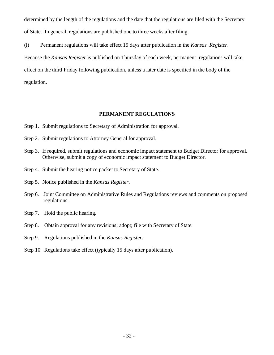determined by the length of the regulations and the date that the regulations are filed with the Secretary of State. In general, regulations are published one to three weeks after filing.

(l) Permanent regulations will take effect 15 days after publication in the *Kansas Register*. Because the *Kansas Register* is published on Thursday of each week, permanent regulations will take effect on the third Friday following publication, unless a later date is specified in the body of the regulation.

#### **PERMANENT REGULATIONS**

- Step 1. Submit regulations to Secretary of Administration for approval.
- Step 2. Submit regulations to Attorney General for approval.
- Step 3. If required, submit regulations and economic impact statement to Budget Director for approval. Otherwise, submit a copy of economic impact statement to Budget Director.
- Step 4. Submit the hearing notice packet to Secretary of State.
- Step 5. Notice published in the *Kansas Register*.
- Step 6. Joint Committee on Administrative Rules and Regulations reviews and comments on proposed regulations.
- Step 7. Hold the public hearing.
- Step 8. Obtain approval for any revisions; adopt; file with Secretary of State.
- Step 9. Regulations published in the *Kansas Register*.
- Step 10. Regulations take effect (typically 15 days after publication).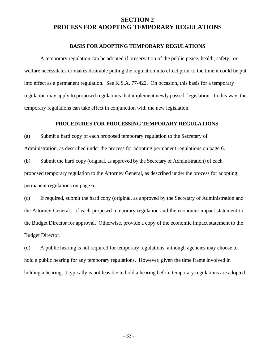### **SECTION 2 PROCESS FOR ADOPTING TEMPORARY REGULATIONS**

#### **BASIS FOR ADOPTING TEMPORARY REGULATIONS**

A temporary regulation can be adopted if preservation of the public peace, health, safety, or welfare necessitates or makes desirable putting the regulation into effect prior to the time it could be put into effect as a permanent regulation. See K.S.A. 77-422. On occasion, this basis for a temporary regulation may apply to proposed regulations that implement newly passed legislation. In this way, the temporary regulations can take effect in conjunction with the new legislation.

#### **PROCEDURES FOR PROCESSING TEMPORARY REGULATIONS**

(a) Submit a hard copy of each proposed temporary regulation to the Secretary of

Administration, as described under the process for adopting permanent regulations on page 6.

(b) Submit the hard copy (original, as approved by the Secretary of Administration) of each proposed temporary regulation to the Attorney General, as described under the process for adopting permanent regulations on page 6.

(c) If required, submit the hard copy (original, as approved by the Secretary of Administration and the Attorney General) of each proposed temporary regulation and the economic impact statement to the Budget Director for approval. Otherwise, provide a copy of the economic impact statement to the Budget Director.

(d) A public hearing is not required for temporary regulations, although agencies may choose to hold a public hearing for any temporary regulations. However, given the time frame involved in holding a hearing, it typically is not feasible to hold a hearing before temporary regulations are adopted.

- 33 -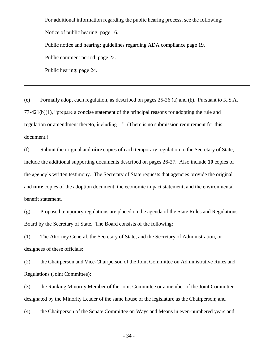For additional information regarding the public hearing process, see the following: Notice of public hearing: page 16. Public notice and hearing; guidelines regarding ADA compliance page 19. Public comment period: page 22. Public hearing: page 24.

(e) Formally adopt each regulation, as described on pages 25-26 (a) and (b). Pursuant to K.S.A. 77-421(b)(1), "prepare a concise statement of the principal reasons for adopting the rule and regulation or amendment thereto, including…" (There is no submission requirement for this document.)

(f) Submit the original and **nine** copies of each temporary regulation to the Secretary of State; include the additional supporting documents described on pages 26-27. Also include **10** copies of the agency's written testimony. The Secretary of State requests that agencies provide the original and **nine** copies of the adoption document, the economic impact statement, and the environmental benefit statement.

(g) Proposed temporary regulations are placed on the agenda of the State Rules and Regulations Board by the Secretary of State. The Board consists of the following:

(1) The Attorney General, the Secretary of State, and the Secretary of Administration, or designees of these officials;

(2) the Chairperson and Vice-Chairperson of the Joint Committee on Administrative Rules and Regulations (Joint Committee);

(3) the Ranking Minority Member of the Joint Committee or a member of the Joint Committee designated by the Minority Leader of the same house of the legislature as the Chairperson; and

(4) the Chairperson of the Senate Committee on Ways and Means in even-numbered years and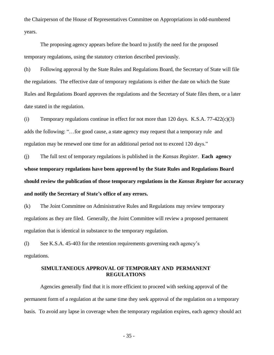the Chairperson of the House of Representatives Committee on Appropriations in odd-numbered years.

The proposing agency appears before the board to justify the need for the proposed temporary regulations, using the statutory criterion described previously.

(h) Following approval by the State Rules and Regulations Board, the Secretary of State will file the regulations. The effective date of temporary regulations is either the date on which the State Rules and Regulations Board approves the regulations and the Secretary of State files them, or a later date stated in the regulation.

(i) Temporary regulations continue in effect for not more than 120 days. K.S.A.  $77-422(c)(3)$ adds the following: "…for good cause, a state agency may request that a temporary rule and regulation may be renewed one time for an additional period not to exceed 120 days."

(j) The full text of temporary regulations is published in the *Kansas Register*. **Each agency whose temporary regulations have been approved by the State Rules and Regulations Board should review the publication of those temporary regulations in the** *Kansas Register* **for accuracy and notify the Secretary of State's office of any errors.**

(k) The Joint Committee on Administrative Rules and Regulations may review temporary regulations as they are filed. Generally, the Joint Committee will review a proposed permanent regulation that is identical in substance to the temporary regulation.

(l) See K.S.A. 45-403 for the retention requirements governing each agency's regulations.

#### **SIMULTANEOUS APPROVAL OF TEMPORARY AND PERMANENT REGULATIONS**

Agencies generally find that it is more efficient to proceed with seeking approval of the permanent form of a regulation at the same time they seek approval of the regulation on a temporary basis. To avoid any lapse in coverage when the temporary regulation expires, each agency should act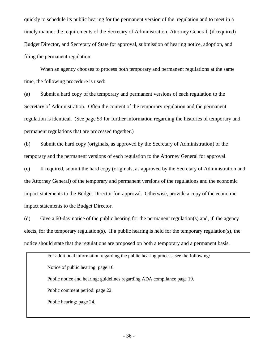quickly to schedule its public hearing for the permanent version of the regulation and to meet in a timely manner the requirements of the Secretary of Administration, Attorney General, (if required) Budget Director, and Secretary of State for approval, submission of hearing notice, adoption, and filing the permanent regulation.

When an agency chooses to process both temporary and permanent regulations at the same time, the following procedure is used:

(a) Submit a hard copy of the temporary and permanent versions of each regulation to the Secretary of Administration. Often the content of the temporary regulation and the permanent regulation is identical. (See page 59 for further information regarding the histories of temporary and permanent regulations that are processed together.)

(b) Submit the hard copy (originals, as approved by the Secretary of Administration) of the temporary and the permanent versions of each regulation to the Attorney General for approval.

(c) If required, submit the hard copy (originals, as approved by the Secretary of Administration and the Attorney General) of the temporary and permanent versions of the regulations and the economic impact statements to the Budget Director for approval. Otherwise, provide a copy of the economic impact statements to the Budget Director.

(d) Give a 60-day notice of the public hearing for the permanent regulation(s) and, if the agency elects, for the temporary regulation(s). If a public hearing is held for the temporary regulation(s), the notice should state that the regulations are proposed on both a temporary and a permanent basis.

For additional information regarding the public hearing process, see the following: Notice of public hearing: page 16. Public notice and hearing; guidelines regarding ADA compliance page 19. Public comment period: page 22. Public hearing: page 24.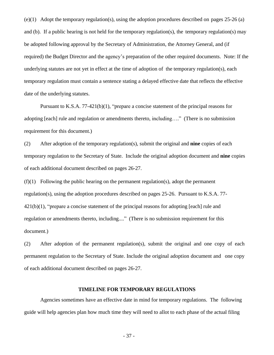(e)(1) Adopt the temporary regulation(s), using the adoption procedures described on pages 25-26 (a) and (b). If a public hearing is not held for the temporary regulation(s), the temporary regulation(s) may be adopted following approval by the Secretary of Administration, the Attorney General, and (if required) the Budget Director and the agency's preparation of the other required documents. Note: If the underlying statutes are not yet in effect at the time of adoption of the temporary regulation(s), each temporary regulation must contain a sentence stating a delayed effective date that reflects the effective date of the underlying statutes.

Pursuant to K.S.A. 77-421(b)(1), "prepare a concise statement of the principal reasons for adopting [each] rule and regulation or amendments thereto, including…." (There is no submission requirement for this document.)

(2) After adoption of the temporary regulation(s), submit the original and **nine** copies of each temporary regulation to the Secretary of State. Include the original adoption document and **nine** copies of each additional document described on pages 26-27.

 $(f)(1)$  Following the public hearing on the permanent regulation(s), adopt the permanent regulation(s), using the adoption procedures described on pages 25-26. Pursuant to K.S.A. 77-  $421(b)(1)$ , "prepare a concise statement of the principal reasons for adopting [each] rule and regulation or amendments thereto, including...." (There is no submission requirement for this document.)

(2) After adoption of the permanent regulation(s), submit the original and one copy of each permanent regulation to the Secretary of State. Include the original adoption document and one copy of each additional document described on pages 26-27.

#### **TIMELINE FOR TEMPORARY REGULATIONS**

Agencies sometimes have an effective date in mind for temporary regulations. The following guide will help agencies plan how much time they will need to allot to each phase of the actual filing

- 37 -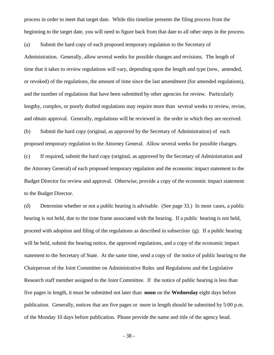process in order to meet that target date. While this timeline presents the filing process from the beginning to the target date, you will need to figure back from that date to all other steps in the process.

(a) Submit the hard copy of each proposed temporary regulation to the Secretary of Administration. Generally, allow several weeks for possible changes and revisions. The length of time that it takes to review regulations will vary, depending upon the length and type (new, amended, or revoked) of the regulations, the amount of time since the last amendment (for amended regulations), and the number of regulations that have been submitted by other agencies for review. Particularly lengthy, complex, or poorly drafted regulations may require more than several weeks to review, revise, and obtain approval. Generally, regulations will be reviewed in the order in which they are received.

(b) Submit the hard copy (original, as approved by the Secretary of Administration) of each proposed temporary regulation to the Attorney General. Allow several weeks for possible changes.

(c) If required, submit the hard copy (original, as approved by the Secretary of Administration and the Attorney General) of each proposed temporary regulation and the economic impact statement to the Budget Director for review and approval. Otherwise, provide a copy of the economic impact statement to the Budget Director.

(d) Determine whether or not a public hearing is advisable. (See page 33.) In most cases, a public hearing is not held, due to the time frame associated with the hearing. If a public hearing is not held, proceed with adoption and filing of the regulations as described in subsection (g). If a public hearing will be held, submit the hearing notice, the approved regulations, and a copy of the economic impact statement to the Secretary of State. At the same time, send a copy of the notice of public hearing to the Chairperson of the Joint Committee on Administrative Rules and Regulations and the Legislative Research staff member assigned to the Joint Committee. If the notice of public hearing is less than five pages in length, it must be submitted not later than **noon** on the **Wednesday** eight days before publication. Generally, notices that are five pages or more in length should be submitted by 5:00 p.m. of the Monday 10 days before publication. Please provide the name and title of the agency head.

- 38 -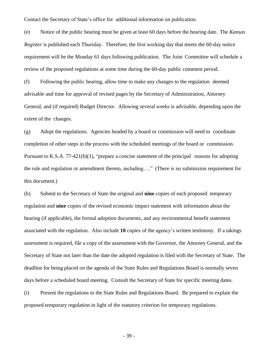Contact the Secretary of State's office for additional information on publication.

(e) Notice of the public hearing must be given at least 60 days before the hearing date. The *Kansas Register* is published each Thursday. Therefore, the first working day that meets the 60-day notice requirement will be the Monday 61 days following publication. The Joint Committee will schedule a review of the proposed regulations at some time during the 60-day public comment period.

(f) Following the public hearing, allow time to make any changes to the regulation deemed advisable and time for approval of revised pages by the Secretary of Administration, Attorney General, and (if required) Budget Director. Allowing several weeks is advisable, depending upon the extent of the changes.

(g) Adopt the regulations. Agencies headed by a board or commission will need to coordinate completion of other steps in the process with the scheduled meetings of the board or commission. Pursuant to K.S.A. 77-421(b)(1), "prepare a concise statement of the principal reasons for adopting the rule and regulation or amendment thereto, including…." (There is no submission requirement for this document.)

(h) Submit to the Secretary of State the original and **nine** copies of each proposed temporary regulation and **nine** copies of the revised economic impact statement with information about the hearing (if applicable), the formal adoption documents, and any environmental benefit statement associated with the regulation. Also include **10** copies of the agency's written testimony. If a takings assessment is required, file a copy of the assessment with the Governor, the Attorney General, and the Secretary of State not later than the date the adopted regulation is filed with the Secretary of State. The deadline for being placed on the agenda of the State Rules and Regulations Board is normally seven days before a scheduled board meeting. Consult the Secretary of State for specific meeting dates.

(i) Present the regulations to the State Rules and Regulations Board. Be prepared to explain the proposed temporary regulation in light of the statutory criterion for temporary regulations.

- 39 -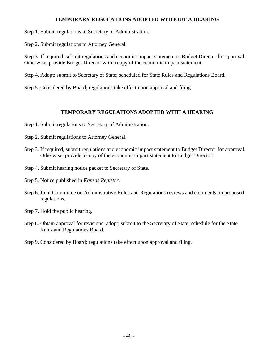## **TEMPORARY REGULATIONS ADOPTED WITHOUT A HEARING**

Step 1. Submit regulations to Secretary of Administration.

Step 2. Submit regulations to Attorney General.

Step 3. If required, submit regulations and economic impact statement to Budget Director for approval. Otherwise, provide Budget Director with a copy of the economic impact statement.

Step 4. Adopt; submit to Secretary of State; scheduled for State Rules and Regulations Board.

Step 5. Considered by Board; regulations take effect upon approval and filing.

## **TEMPORARY REGULATIONS ADOPTED WITH A HEARING**

- Step 1. Submit regulations to Secretary of Administration.
- Step 2. Submit regulations to Attorney General.
- Step 3. If required, submit regulations and economic impact statement to Budget Director for approval. Otherwise, provide a copy of the economic impact statement to Budget Director.
- Step 4. Submit hearing notice packet to Secretary of State.
- Step 5. Notice published in *Kansas Register*.
- Step 6. Joint Committee on Administrative Rules and Regulations reviews and comments on proposed regulations.
- Step 7. Hold the public hearing.
- Step 8. Obtain approval for revisions; adopt; submit to the Secretary of State; schedule for the State Rules and Regulations Board.
- Step 9. Considered by Board; regulations take effect upon approval and filing.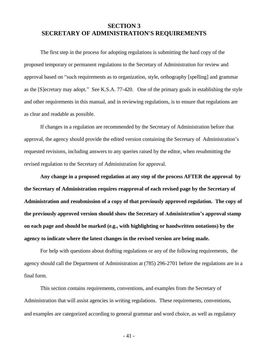## **SECTION 3 SECRETARY OF ADMINISTRATION'S REQUIREMENTS**

The first step in the process for adopting regulations is submitting the hard copy of the proposed temporary or permanent regulations to the Secretary of Administration for review and approval based on "such requirements as to organization, style, orthography [spelling] and grammar as the [S]ecretary may adopt." See K.S.A. 77-420. One of the primary goals in establishing the style and other requirements in this manual, and in reviewing regulations, is to ensure that regulations are as clear and readable as possible.

If changes in a regulation are recommended by the Secretary of Administration before that approval, the agency should provide the edited version containing the Secretary of Administration's requested revisions, including answers to any queries raised by the editor, when resubmitting the revised regulation to the Secretary of Administration for approval.

**Any change in a proposed regulation at any step of the process AFTER the approval by the Secretary of Administration requires reapproval of each revised page by the Secretary of Administration and resubmission of a copy of that previously approved regulation. The copy of the previously approved version should show the Secretary of Administration's approval stamp on each page and should be marked (e.g., with highlighting or handwritten notations) by the agency to indicate where the latest changes in the revised version are being made.**

For help with questions about drafting regulations or any of the following requirements, the agency should call the Department of Administration at (785) 296-2701 before the regulations are in a final form.

This section contains requirements, conventions, and examples from the Secretary of Administration that will assist agencies in writing regulations. These requirements, conventions, and examples are categorized according to general grammar and word choice, as well as regulatory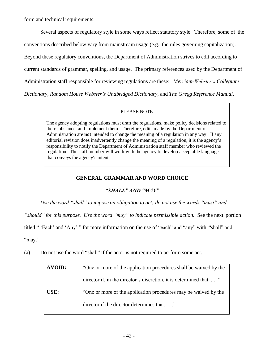form and technical requirements.

Several aspects of regulatory style in some ways reflect statutory style. Therefore, some of the conventions described below vary from mainstream usage (e.g., the rules governing capitalization). Beyond these regulatory conventions, the Department of Administration strives to edit according to current standards of grammar, spelling, and usage. The primary references used by the Department of Administration staff responsible for reviewing regulations are these: *Merriam-Webster's Collegiate Dictionary*, *Random House Webster's Unabridged Dictionary*, and *The Gregg Reference Manual*.

### PLEASE NOTE

The agency adopting regulations must draft the regulations, make policy decisions related to their substance, and implement them. Therefore, edits made by the Department of Administration are **not** intended to change the meaning of a regulation in any way. If any editorial revision does inadvertently change the meaning of a regulation, it is the agency's responsibility to notify the Department of Administration staff member who reviewed the regulation. The staff member will work with the agency to develop acceptable language that conveys the agency's intent.

## **GENERAL GRAMMAR AND WORD CHOICE**

## *"SHALL" AND "MAY"*

*Use the word "shall" to impose an obligation to act; do not use the words "must" and*

*"should" for this purpose. Use the word "may" to indicate permissible action.* See the next portion

titled " 'Each' and 'Any' " for more information on the use of "each" and "any" with "shall" and

"may."

(a) Do not use the word "shall" if the actor is not required to perform some act.

| <b>AVOID:</b> | "One or more of the application procedures shall be waived by the |  |
|---------------|-------------------------------------------------------------------|--|
|               | director if, in the director's discretion, it is determined that" |  |
| USE:          | "One or more of the application procedures may be waived by the   |  |
|               | director if the director determines that"                         |  |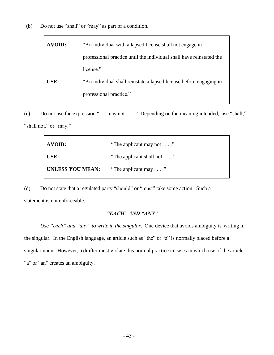(b) Do not use "shall" or "may" as part of a condition.

| <b>AVOID:</b> | "An individual with a lapsed license shall not engage in             |  |
|---------------|----------------------------------------------------------------------|--|
|               | professional practice until the individual shall have reinstated the |  |
|               | license."                                                            |  |
| USE:          | "An individual shall reinstate a lapsed license before engaging in   |  |
|               | professional practice."                                              |  |
|               |                                                                      |  |

(c) Do not use the expression ". . . may not . . . ." Depending on the meaning intended, use "shall," "shall not," or "may."

| AVOID:           | "The applicant may not $\dots$ "   |
|------------------|------------------------------------|
| $\vert$ USE:     | "The applicant shall not $\dots$ " |
| UNLESS YOU MEAN: | "The applicant may $\dots$ "       |

(d) Do not state that a regulated party "should" or "must" take some action. Such a statement is not enforceable.

### *"EACH" AND "ANY"*

*Use "each" and "any" to write in the singular*. One device that avoids ambiguity is writing in the singular. In the English language, an article such as "the" or "a" is normally placed before a singular noun. However, a drafter must violate this normal practice in cases in which use of the article "a" or "an" creates an ambiguity.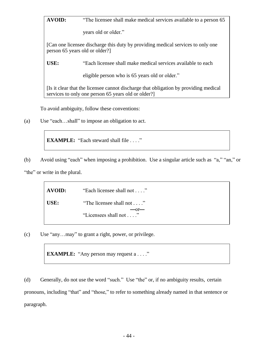**AVOID:** "The licensee shall make medical services available to a person 65

years old or older."

[Can one licensee discharge this duty by providing medical services to only one person 65 years old or older?]

**USE:** "Each licensee shall make medical services available to each

eligible person who is 65 years old or older."

[Is it clear that the licensee cannot discharge that obligation by providing medical services to only one person 65 years old or older?]

To avoid ambiguity, follow these conventions:

(a) Use "each…shall" to impose an obligation to act.

**EXAMPLE:** "Each steward shall file . . . ."

(b) Avoid using "each" when imposing a prohibition. Use a singular article such as "a," "an," or "the" or write in the plural.

> **AVOID:** "Each licensee shall not . . . ." USE: "The licensee shall not . . . ."  $-0r$ "Licensees shall not . . . ."

(c) Use "any…may" to grant a right, power, or privilege.

**EXAMPLE:** "Any person may request a . . . ."

(d) Generally, do not use the word "such." Use "the" or, if no ambiguity results, certain pronouns, including "that" and "those," to refer to something already named in that sentence or paragraph.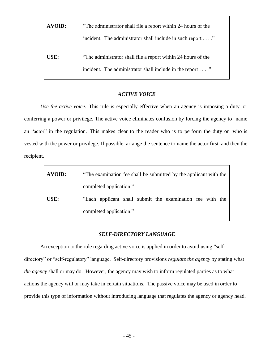| <b>AVOID:</b> | "The administrator shall file a report within 24 hours of the |  |  |
|---------------|---------------------------------------------------------------|--|--|
|               | incident. The administrator shall include in such report"     |  |  |
| USE:          | "The administrator shall file a report within 24 hours of the |  |  |
|               | incident. The administrator shall include in the report"      |  |  |

## *ACTIVE VOICE*

*Use the active voice.* This rule is especially effective when an agency is imposing a duty or conferring a power or privilege. The active voice eliminates confusion by forcing the agency to name an "actor" in the regulation. This makes clear to the reader who is to perform the duty or who is vested with the power or privilege. If possible, arrange the sentence to name the actor first and then the recipient.

| <b>AVOID:</b> | "The examination fee shall be submitted by the applicant with the |  |  |
|---------------|-------------------------------------------------------------------|--|--|
|               | completed application."                                           |  |  |
| USE:          | "Each applicant shall submit the examination fee with the         |  |  |
|               | completed application."                                           |  |  |

## *SELF-DIRECTORY LANGUAGE*

An exception to the rule regarding active voice is applied in order to avoid using "selfdirectory" or "self-regulatory" language. Self-directory provisions *regulate the agency* by stating what *the agency* shall or may do. However, the agency may wish to inform regulated parties as to what actions the agency will or may take in certain situations. The passive voice may be used in order to provide this type of information without introducing language that regulates the agency or agency head.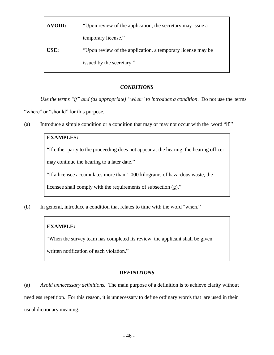| "Upon review of the application, the secretary may issue a    |  |
|---------------------------------------------------------------|--|
| temporary license."                                           |  |
| "Upon review of the application, a temporary license may be." |  |
| issued by the secretary."                                     |  |
|                                                               |  |

## *CONDITIONS*

*Use the terms "if" and (as appropriate) "when" to introduce a condition*. Do not use the terms "where" or "should" for this purpose.

(a) Introduce a simple condition or a condition that may or may not occur with the word "if."

### **EXAMPLES:**

"If either party to the proceeding does not appear at the hearing, the hearing officer

may continue the hearing to a later date."

"If a licensee accumulates more than 1,000 kilograms of hazardous waste, the

licensee shall comply with the requirements of subsection (g)."

(b) In general, introduce a condition that relates to time with the word "when."

## **EXAMPLE:**

"When the survey team has completed its review, the applicant shall be given

written notification of each violation."

## *DEFINITIONS*

(a) *Avoid unnecessary definitions.* The main purpose of a definition is to achieve clarity without needless repetition. For this reason, it is unnecessary to define ordinary words that are used in their usual dictionary meaning.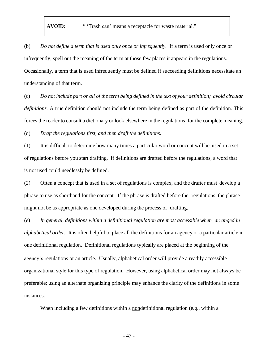**AVOID:** " 'Trash can' means a receptacle for waste material."

(b) *Do not define a term that is used only once or infrequently.* If a term is used only once or infrequently, spell out the meaning of the term at those few places it appears in the regulations. Occasionally, a term that is used infrequently must be defined if succeeding definitions necessitate an understanding of that term.

(c) *Do not include part or all of the term being defined in the text of your definition; avoid circular definitions.* A true definition should not include the term being defined as part of the definition. This forces the reader to consult a dictionary or look elsewhere in the regulations for the complete meaning.

(d) *Draft the regulations first, and then draft the definitions.*

(1) It is difficult to determine how many times a particular word or concept will be used in a set of regulations before you start drafting. If definitions are drafted before the regulations, a word that is not used could needlessly be defined.

(2) Often a concept that is used in a set of regulations is complex, and the drafter must develop a phrase to use as shorthand for the concept. If the phrase is drafted before the regulations, the phrase might not be as appropriate as one developed during the process of drafting.

(e) *In general, definitions within a definitional regulation are most accessible when arranged in alphabetical order.* It is often helpful to place all the definitions for an agency or a particular article in one definitional regulation. Definitional regulations typically are placed at the beginning of the agency's regulations or an article. Usually, alphabetical order will provide a readily accessible organizational style for this type of regulation. However, using alphabetical order may not always be preferable; using an alternate organizing principle may enhance the clarity of the definitions in some instances.

When including a few definitions within a nondefinitional regulation (e.g., within a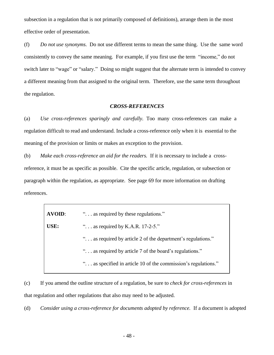subsection in a regulation that is not primarily composed of definitions), arrange them in the most effective order of presentation.

(f) *Do not use synonyms.* Do not use different terms to mean the same thing. Use the same word consistently to convey the same meaning. For example, if you first use the term "income," do not switch later to "wage" or "salary." Doing so might suggest that the alternate term is intended to convey a different meaning from that assigned to the original term. Therefore, use the same term throughout the regulation.

#### *CROSS-REFERENCES*

(a) *Use cross-references sparingly and carefully.* Too many cross-references can make a regulation difficult to read and understand. Include a cross-reference only when it is essential to the meaning of the provision or limits or makes an exception to the provision.

(b) *Make each cross-reference an aid for the readers.* If it is necessary to include a crossreference, it must be as specific as possible. Cite the specific article, regulation, or subsection or paragraph within the regulation, as appropriate. See page 69 for more information on drafting references.

| <b>AVOID:</b> | " as required by these regulations."                           |  |
|---------------|----------------------------------------------------------------|--|
| USE:          | " $\ldots$ as required by K.A.R. 17-2-5."                      |  |
|               | " as required by article 2 of the department's regulations."   |  |
|               | " as required by article 7 of the board's regulations."        |  |
|               | " as specified in article 10 of the commission's regulations." |  |
|               |                                                                |  |

(c) If you amend the outline structure of a regulation, be sure to *check for cross-references* in that regulation and other regulations that also may need to be adjusted.

(d) *Consider using a cross-reference for documents adopted by reference.* If a document is adopted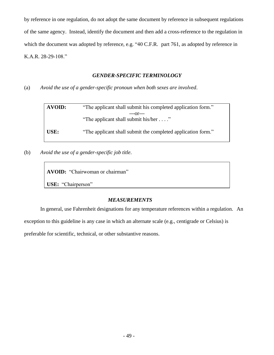by reference in one regulation, do not adopt the same document by reference in subsequent regulations of the same agency. Instead, identify the document and then add a cross-reference to the regulation in which the document was adopted by reference, e.g. "40 C.F.R. part 761, as adopted by reference in K.A.R. 28-29-108."

## *GENDER-SPECIFIC TERMINOLOGY*

(a) *Avoid the use of a gender-specific pronoun when both sexes are involved*.

| <b>AVOID:</b> | "The applicant shall submit his completed application form." |  |
|---------------|--------------------------------------------------------------|--|
|               | $-0r-$                                                       |  |
|               | "The applicant shall submit his/her"                         |  |
| USE:          | "The applicant shall submit the completed application form." |  |

(b) *Avoid the use of a gender-specific job title*.

**AVOID:** "Chairwoman or chairman"

**USE:** "Chairperson"

# *MEASUREMENTS*

In general, use Fahrenheit designations for any temperature references within a regulation. An

exception to this guideline is any case in which an alternate scale (e.g., centigrade or Celsius) is

preferable for scientific, technical, or other substantive reasons.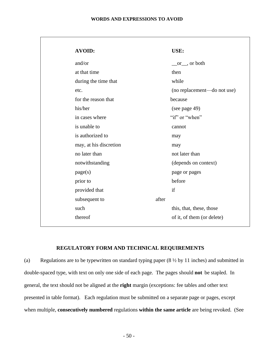#### **WORDS AND EXPRESSIONS TO AVOID**

| <b>AVOID:</b>          |       | USE:                        |
|------------------------|-------|-----------------------------|
| and/or                 |       | $\_\or$ , or both           |
| at that time           |       | then                        |
| during the time that   |       | while                       |
| etc.                   |       | (no replacement—do not use) |
| for the reason that    |       | because                     |
| his/her                |       | (see page 49)               |
| in cases where         |       | "if" or "when"              |
| is unable to           |       | cannot                      |
| is authorized to       |       | may                         |
| may, at his discretion |       | may                         |
| no later than          |       | not later than              |
| notwithstanding        |       | (depends on context)        |
| page(s)                |       | page or pages               |
| prior to               |       | before                      |
| provided that          |       | if                          |
| subsequent to          | after |                             |
| such                   |       | this, that, these, those    |
| thereof                |       | of it, of them (or delete)  |
|                        |       |                             |

### **REGULATORY FORM AND TECHNICAL REQUIREMENTS**

(a) Regulations are to be typewritten on standard typing paper  $(8 \frac{1}{2} \text{ by } 11 \text{ inches})$  and submitted in double-spaced type, with text on only one side of each page. The pages should **not** be stapled. In general, the text should not be aligned at the **right** margin (exceptions: fee tables and other text presented in table format). Each regulation must be submitted on a separate page or pages, except when multiple, **consecutively numbered** regulations **within the same article** are being revoked. (See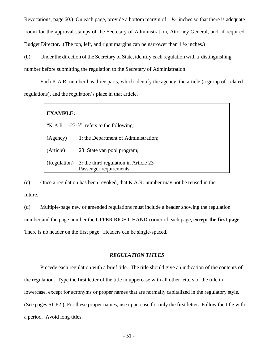Revocations, page 60.) On each page, provide a bottom margin of  $1\frac{1}{2}$  inches so that there is adequate room for the approval stamps of the Secretary of Administration, Attorney General, and, if required, Budget Director. (The top, left, and right margins can be narrower than 1 ½ inches.)

(b) Under the direction of the Secretary of State, identify each regulation with a distinguishing

number before submitting the regulation to the Secretary of Administration.

Each K.A.R. number has three parts, which identify the agency, the article (a group of related regulations), and the regulation's place in that article.

| <b>EXAMPLE:</b>                          |                                                                     |  |
|------------------------------------------|---------------------------------------------------------------------|--|
| "K.A.R. 1-23-3" refers to the following: |                                                                     |  |
| (Agency)                                 | 1: the Department of Administration;                                |  |
| (Article)                                | 23: State van pool program;                                         |  |
| (Regulation)                             | 3: the third regulation in Article $23-$<br>Passenger requirements. |  |

(c) Once a regulation has been revoked, that K.A.R. number may not be reused in the future.

(d) Multiple-page new or amended regulations must include a header showing the regulation number and the page number the UPPER RIGHT-HAND corner of each page, **except the first page**. There is no header on the first page. Headers can be single-spaced.

### *REGULATION TITLES*

Precede each regulation with a brief title. The title should give an indication of the contents of the regulation. Type the first letter of the title in uppercase with all other letters of the title in lowercase, except for acronyms or proper names that are normally capitalized in the regulatory style. (See pages 61-62.) For these proper names, use uppercase for only the first letter. Follow the title with a period. Avoid long titles.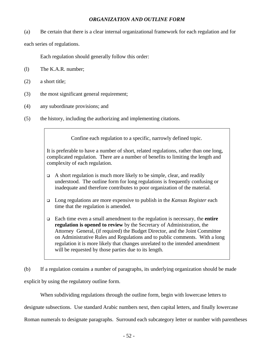## *ORGANIZATION AND OUTLINE FORM*

(a) Be certain that there is a clear internal organizational framework for each regulation and for

each series of regulations.

Each regulation should generally follow this order:

- (l) The K.A.R. number;
- (2) a short title;
- (3) the most significant general requirement;
- (4) any subordinate provisions; and
- (5) the history, including the authorizing and implementing citations.

Confine each regulation to a specific, narrowly defined topic.

It is preferable to have a number of short, related regulations, rather than one long, complicated regulation. There are a number of benefits to limiting the length and complexity of each regulation.

- $\Box$  A short regulation is much more likely to be simple, clear, and readily understood. The outline form for long regulations is frequently confusing or inadequate and therefore contributes to poor organization of the material.
- ❑ Long regulations are more expensive to publish in the *Kansas Register* each time that the regulation is amended.
- ❑ Each time even a small amendment to the regulation is necessary, the **entire regulation is opened to review** by the Secretary of Administration, the Attorney General, (if required) the Budget Director, and the Joint Committee on Administrative Rules and Regulations and to public comments. With a long regulation it is more likely that changes unrelated to the intended amendment will be requested by those parties due to its length.

(b) If a regulation contains a number of paragraphs, its underlying organization should be made explicit by using the regulatory outline form.

When subdividing regulations through the outline form, begin with lowercase letters to designate subsections. Use standard Arabic numbers next, then capital letters, and finally lowercase Roman numerals to designate paragraphs. Surround each subcategory letter or number with parentheses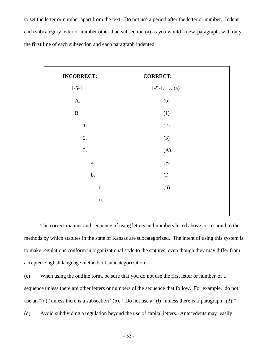to set the letter or number apart from the text. Do not use a period after the letter or number. Indent each subcategory letter or number other than subsection (a) as you would a new paragraph, with only the **first** line of each subsection and each paragraph indented.

| <b>INCORRECT:</b> | <b>CORRECT:</b>    |
|-------------------|--------------------|
| $1 - 5 - 1$       | 1-5-1. $\dots (a)$ |
| A.                | (b)                |
| $\mathbf B.$      | (1)                |
| $1.$              | (2)                |
| 2.                | (3)                |
| 3.                | (A)                |
| a.                | (B)                |
| $b$ .             | (i)                |
| $\mathbf i.$      | (ii)               |
| ii.               |                    |
|                   |                    |

The correct manner and sequence of using letters and numbers listed above correspond to the methods by which statutes in the state of Kansas are subcategorized. The intent of using this system is to make regulations conform in organizational style to the statutes, even though they may differ from accepted English language methods of subcategorization.

(c) When using the outline form, be sure that you do not use the first letter or number of a sequence unless there are other letters or numbers of the sequence that follow. For example, do not use an "(a)" unless there is a subsection "(b)." Do not use a "(l)" unless there is a paragraph "(2)." (d) Avoid subdividing a regulation beyond the use of capital letters. Antecedents may easily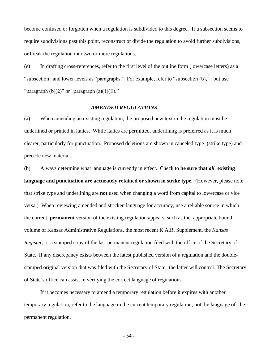become confused or forgotten when a regulation is subdivided to this degree. If a subsection seems to require subdivisions past this point, reconstruct or divide the regulation to avoid further subdivisions, or break the regulation into two or more regulations.

(e) In drafting cross-references, refer to the first level of the outline form (lowercase letters) as a "subsection" and lower levels as "paragraphs." For example, refer to "subsection (b)," but use "paragraph  $(b)(2)$ " or "paragraph  $(a)(1)(E)$ ."

#### *AMENDED REGULATIONS*

(a) When amending an existing regulation, the proposed new text in the regulation must be underlined or printed in italics. While italics are permitted, underlining is preferred as it is much clearer, particularly for punctuation. Proposed deletions are shown in canceled type (strike type) and precede new material.

(b) Always determine what language is currently in effect. Check to **be sure that** *all* **existing language and punctuation are accurately retained or shown in strike type.** (However, please note that strike type and underlining are **not** used when changing a word from capital to lowercase or vice versa.) When reviewing amended and stricken language for accuracy, use a reliable source in which the current, **permanent** version of the existing regulation appears, such as the appropriate bound volume of Kansas Administrative Regulations, the most recent K.A.R. Supplement, the *Kansas Register*, or a stamped copy of the last permanent regulation filed with the office of the Secretary of State. If any discrepancy exists between the latest published version of a regulation and the doublestamped original version that was filed with the Secretary of State, the latter will control. The Secretary of State's office can assist in verifying the correct language of regulations.

If it becomes necessary to amend a temporary regulation before it expires with another temporary regulation, refer to the language in the current temporary regulation, not the language of the permanent regulation.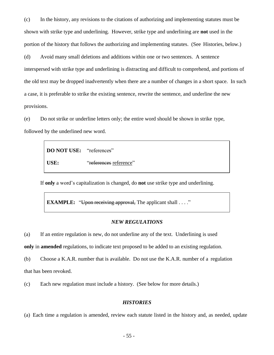(c) In the history, any revisions to the citations of authorizing and implementing statutes must be shown with strike type and underlining. However, strike type and underlining are **not** used in the portion of the history that follows the authorizing and implementing statutes. (See Histories, below.)

(d) Avoid many small deletions and additions within one or two sentences. A sentence interspersed with strike type and underlining is distracting and difficult to comprehend, and portions of the old text may be dropped inadvertently when there are a number of changes in a short space. In such a case, it is preferable to strike the existing sentence, rewrite the sentence, and underline the new provisions.

(e) Do not strike or underline letters only; the entire word should be shown in strike type, followed by the underlined new word.

> **DO NOT USE:** "references" USE: "references reference"

If **only** a word's capitalization is changed, do **not** use strike type and underlining.

**EXAMPLE:** "Upon receiving approval, The applicant shall . . . ."

#### *NEW REGULATIONS*

(a) If an entire regulation is new, do not underline any of the text. Underlining is used

**only** in **amended** regulations, to indicate text proposed to be added to an existing regulation.

(b) Choose a K.A.R. number that is available. Do not use the K.A.R. number of a regulation that has been revoked.

(c) Each new regulation must include a history. (See below for more details.)

#### *HISTORIES*

(a) Each time a regulation is amended, review each statute listed in the history and, as needed, update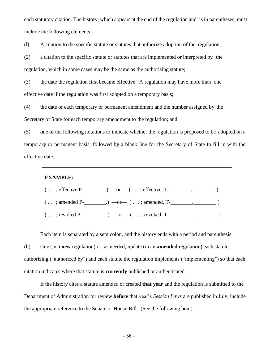each statutory citation. The history, which appears at the end of the regulation and is in parentheses, must include the following elements:

(l) A citation to the specific statute or statutes that authorize adoption of the regulation;

(2) a citation to the specific statute or statutes that are implemented or interpreted by the regulation, which in some cases may be the same as the authorizing statute;

(3) the date the regulation first became effective. A regulation may have more than one effective date if the regulation was first adopted on a temporary basis;

(4) the date of each temporary or permanent amendment and the number assigned by the Secretary of State for each temporary amendment to the regulation; and

(5) one of the following notations to indicate whether the regulation is proposed to be adopted on a temporary or permanent basis, followed by a blank line for the Secretary of State to fill in with the effective date.



Each item is separated by a semicolon, and the history ends with a period and parenthesis.

(b) Cite (in a **new** regulation) or, as needed, update (in an **amended** regulation) each statute authorizing ("authorized by") and each statute the regulation implements ("implementing") so that each citation indicates where that statute is **currently** published or authenticated.

If the history cites a statute amended or created **that year** and the regulation is submitted to the Department of Administration for review **before** that year's *Session Laws* are published in July, include the appropriate reference to the Senate or House Bill. (See the following box.)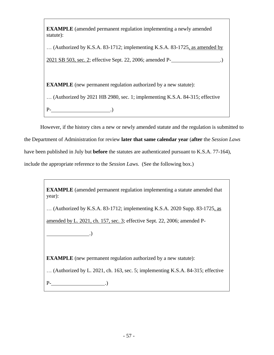**EXAMPLE** (amended permanent regulation implementing a newly amended statute):

… (Authorized by K.S.A. 83-1712; implementing K.S.A. 83-1725, as amended by

2021 SB 503, sec. 2; effective Sept. 22, 2006; amended P- .)

**EXAMPLE** (new permanent regulation authorized by a new statute):

… (Authorized by 2021 HB 2980, sec. 1; implementing K.S.A. 84-315; effective

P- .)

However, if the history cites a new or newly amended statute and the regulation is submitted to

the Department of Administration for review **later that same calendar year** (**after** the *Session Laws* 

have been published in July but **before** the statutes are authenticated pursuant to K.S.A. 77-164),

include the appropriate reference to the *Session Laws*. (See the following box.)

**EXAMPLE** (amended permanent regulation implementing a statute amended that year):

… (Authorized by K.S.A. 83-1712; implementing K.S.A. 2020 Supp. 83-1725, as

amended by L. 2021, ch. 157, sec. 3; effective Sept. 22, 2006; amended P-

**EXAMPLE** (new permanent regulation authorized by a new statute):

… (Authorized by L. 2021, ch. 163, sec. 5; implementing K.S.A. 84-315; effective

 $P$ - ...

 $\qquad \qquad .)$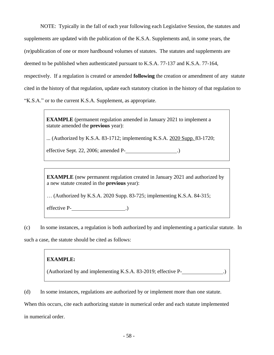NOTE: Typically in the fall of each year following each Legislative Session, the statutes and

supplements are updated with the publication of the K.S.A. Supplements and, in some years, the

(re)publication of one or more hardbound volumes of statutes. The statutes and supplements are

deemed to be published when authenticated pursuant to K.S.A. 77-137 and K.S.A. 77-164,

respectively. If a regulation is created or amended **following** the creation or amendment of any statute

cited in the history of that regulation, update each statutory citation in the history of that regulation to

"K.S.A." or to the current K.S.A. Supplement, as appropriate.

**EXAMPLE** (permanent regulation amended in January 2021 to implement a statute amended the **previous** year):

... (Authorized by K.S.A. 83-1712; implementing K.S.A. 2020 Supp. 83-1720;

effective Sept. 22, 2006; amended P- .)

**EXAMPLE** (new permanent regulation created in January 2021 and authorized by a new statute created in the **previous** year):

… (Authorized by K.S.A. 2020 Supp. 83-725; implementing K.S.A. 84-315;

effective P(1)

(c) In some instances, a regulation is both authorized by and implementing a particular statute. In

such a case, the statute should be cited as follows:

## **EXAMPLE:**

(Authorized by and implementing K.S.A. 83-2019; effective P- .)

(d) In some instances, regulations are authorized by or implement more than one statute.

When this occurs, cite each authorizing statute in numerical order and each statute implemented in numerical order.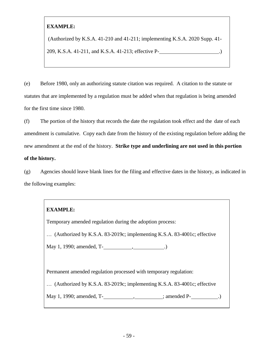## **EXAMPLE:**

(Authorized by K.S.A. 41-210 and 41-211; implementing K.S.A. 2020 Supp. 41-

209, K.S.A. 41-211, and K.S.A. 41-213; effective P- .)

(e) Before 1980, only an authorizing statute citation was required. A citation to the statute or statutes that are implemented by a regulation must be added when that regulation is being amended for the first time since 1980.

(f) The portion of the history that records the date the regulation took effect and the date of each amendment is cumulative. Copy each date from the history of the existing regulation before adding the new amendment at the end of the history. **Strike type and underlining are not used in this portion of the history.**

(g) Agencies should leave blank lines for the filing and effective dates in the history, as indicated in the following examples:

# **EXAMPLE:**

Temporary amended regulation during the adoption process:

… (Authorized by K.S.A. 83-2019c; implementing K.S.A. 83-4001c; effective

May 1, 1990; amended, T- , .)

Permanent amended regulation processed with temporary regulation:

… (Authorized by K.S.A. 83-2019c; implementing K.S.A. 83-4001c; effective

May 1, 1990; amended, T(1990; amended P(2008)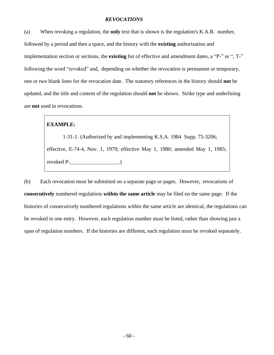#### *REVOCATIONS*

(a) When revoking a regulation, the **only** text that is shown is the regulation's K.A.R. number, followed by a period and then a space, and the history with the **existing** authorization and implementation section or sections, the **existing** list of effective and amendment dates, a "P-" or ", T-" following the word "revoked" and, depending on whether the revocation is permanent or temporary, one or two blank lines for the revocation date. The statutory references in the history should **not** be updated, and the title and content of the regulation should **not** be shown. Strike type and underlining are **not** used in revocations.

## **EXAMPLE:**

1-31-1. (Authorized by and implementing K.S.A. 1984 Supp. 75-3206; effective, E-74-4, Nov. 1, 1979; effective May 1, 1980; amended May 1, 1985; revoked P(2)

(b) Each revocation must be submitted on a separate page or pages. However, revocations of **consecutively** numbered regulations **within the same article** may be filed on the same page. If the histories of consecutively numbered regulations within the same article are identical, the regulations can be revoked in one entry. However, each regulation number must be listed, rather than showing just a span of regulation numbers. If the histories are different, each regulation must be revoked separately.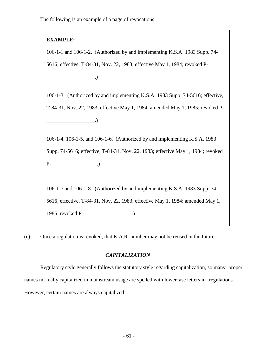The following is an example of a page of revocations:

## **EXAMPLE:**

 $\qquad \qquad .)$ 

106-1-1 and 106-1-2. (Authorized by and implementing K.S.A. 1983 Supp. 74- 5616; effective, T-84-31, Nov. 22, 1983; effective May 1, 1984; revoked P-

106-1-3. (Authorized by and implementing K.S.A. 1983 Supp. 74-5616; effective, T-84-31, Nov. 22, 1983; effective May 1, 1984; amended May 1, 1985; revoked P-  $\qquad \qquad .)$ 

106-1-4, 106-1-5, and 106-1-6. (Authorized by and implementing K.S.A. 1983 Supp. 74-5616; effective, T-84-31, Nov. 22, 1983; effective May 1, 1984; revoked  $P-$  .)

106-1-7 and 106-1-8. (Authorized by and implementing K.S.A. 1983 Supp. 74- 5616; effective, T-84-31, Nov. 22, 1983; effective May 1, 1984; amended May 1, 1985; revoked P- .)

(c) Once a regulation is revoked, that K.A.R. number may not be reused in the future.

## *CAPITALIZATION*

Regulatory style generally follows the statutory style regarding capitalization, so many proper names normally capitalized in mainstream usage are spelled with lowercase letters in regulations. However, certain names are always capitalized: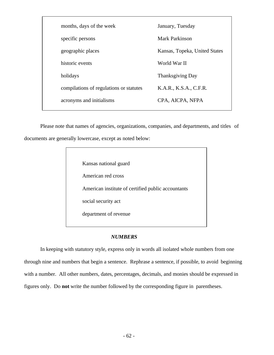| months, days of the week                | January, Tuesday              |
|-----------------------------------------|-------------------------------|
| specific persons                        | <b>Mark Parkinson</b>         |
| geographic places                       | Kansas, Topeka, United States |
| historic events                         | World War II                  |
| holidays                                | <b>Thanksgiving Day</b>       |
| compilations of regulations or statutes | K.A.R., K.S.A., C.F.R.        |
| acronyms and initialisms                | CPA, AICPA, NFPA              |
|                                         |                               |

Please note that names of agencies, organizations, companies, and departments, and titles of documents are generally lowercase, except as noted below:

| Kansas national guard                              |
|----------------------------------------------------|
| American red cross                                 |
| American institute of certified public accountants |
| social security act                                |
| department of revenue                              |
|                                                    |

### *NUMBERS*

In keeping with statutory style, express only in words all isolated whole numbers from one through nine and numbers that begin a sentence. Rephrase a sentence, if possible, to avoid beginning with a number. All other numbers, dates, percentages, decimals, and monies should be expressed in figures only. Do **not** write the number followed by the corresponding figure in parentheses.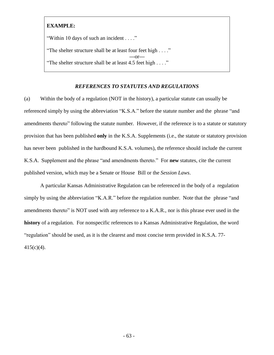## **EXAMPLE:**

"Within 10 days of such an incident . . . ."

"The shelter structure shall be at least four feet high . . . ." **—**or**—** "The shelter structure shall be at least 4.5 feet high . . . ."

## *REFERENCES TO STATUTES AND REGULATIONS*

(a) Within the body of a regulation (NOT in the history), a particular statute can usually be referenced simply by using the abbreviation "K.S.A." before the statute number and the phrase "and amendments thereto" following the statute number. However, if the reference is to a statute or statutory provision that has been published **only** in the K.S.A. Supplements (i.e., the statute or statutory provision has never been published in the hardbound K.S.A. volumes), the reference should include the current K.S.A. Supplement and the phrase "and amendments thereto." For **new** statutes, cite the current published version, which may be a Senate or House Bill or the *Session Laws*.

A particular Kansas Administrative Regulation can be referenced in the body of a regulation simply by using the abbreviation "K.A.R." before the regulation number. Note that the phrase "and amendments thereto" is NOT used with any reference to a K.A.R., nor is this phrase ever used in the **history** of a regulation. For nonspecific references to a Kansas Administrative Regulation, the word "regulation" should be used, as it is the clearest and most concise term provided in K.S.A. 77- 415(c)(4).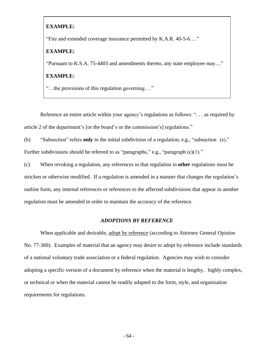#### **EXAMPLE:**

"Fire and extended coverage insurance permitted by K.A.R. 40-5-6.…"

#### **EXAMPLE:**

"Pursuant to K.S.A. 75-4403 and amendments thereto, any state employee may...."

#### **EXAMPLE:**

"…the provisions of this regulation governing…."

Reference an entire article within your agency's regulations as follows: ". . . as required by article 2 of the department's [or the board's or the commission's] regulations."

(b) "Subsection" refers **only** to the initial subdivision of a regulation, e.g., "subsection (e)."

Further subdivisions should be referred to as "paragraphs," e.g., "paragraph (e)(1)."

(c) When revoking a regulation, any references to that regulation in **other** regulations must be stricken or otherwise modified. If a regulation is amended in a manner that changes the regulation's outline form, any internal references or references to the affected subdivisions that appear in another regulation must be amended in order to maintain the accuracy of the reference.

#### *ADOPTIONS BY REFERENCE*

When applicable and desirable, adopt by reference (according to Attorney General Opinion No. 77-369). Examples of material that an agency may desire to adopt by reference include standards of a national voluntary trade association or a federal regulation. Agencies may wish to consider adopting a specific version of a document by reference when the material is lengthy, highly complex, or technical or when the material cannot be readily adapted to the form, style, and organization requirements for regulations.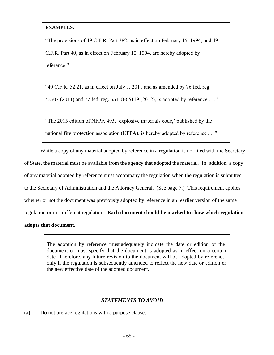## **EXAMPLES:**

"The provisions of 49 C.F.R. Part 382, as in effect on February 15, 1994, and 49 C.F.R. Part 40, as in effect on February 15, 1994, are hereby adopted by reference."

"40 C.F.R. 52.21, as in effect on July 1, 2011 and as amended by 76 fed. reg. 43507 (2011) and 77 fed. reg. 65118-65119 (2012), is adopted by reference . . ."

"The 2013 edition of NFPA 495, 'explosive materials code,' published by the

national fire protection association (NFPA), is hereby adopted by reference . . ."

While a copy of any material adopted by reference in a regulation is not filed with the Secretary of State, the material must be available from the agency that adopted the material. In addition, a copy of any material adopted by reference must accompany the regulation when the regulation is submitted to the Secretary of Administration and the Attorney General. (See page 7.) This requirement applies whether or not the document was previously adopted by reference in an earlier version of the same regulation or in a different regulation. **Each document should be marked to show which regulation adopts that document.**

> The adoption by reference must adequately indicate the date or edition of the document or must specify that the document is adopted as in effect on a certain date. Therefore, any future revision to the document will be adopted by reference only if the regulation is subsequently amended to reflect the new date or edition or the new effective date of the adopted document.

## *STATEMENTS TO AVOID*

(a) Do not preface regulations with a purpose clause.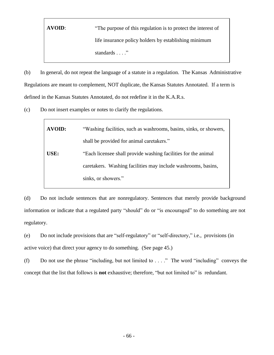**AVOID:** "The purpose of this regulation is to protect the interest of life insurance policy holders by establishing minimum standards . . . ."

(b) In general, do not repeat the language of a statute in a regulation. The Kansas Administrative Regulations are meant to complement, NOT duplicate, the Kansas Statutes Annotated. If a term is defined in the Kansas Statutes Annotated, do not redefine it in the K.A.R.s.

(c) Do not insert examples or notes to clarify the regulations.

| <b>AVOID:</b> | "Washing facilities, such as washrooms, basins, sinks, or showers, |
|---------------|--------------------------------------------------------------------|
|               | shall be provided for animal caretakers."                          |
| USE:          | "Each licensee shall provide washing facilities for the animal     |
|               | caretakers. Washing facilities may include washrooms, basins,      |
|               | sinks, or showers."                                                |

(d) Do not include sentences that are nonregulatory. Sentences that merely provide background information or indicate that a regulated party "should" do or "is encouraged" to do something are not regulatory.

(e) Do not include provisions that are "self-regulatory" or "self-directory," i.e., provisions (in active voice) that direct your agency to do something. (See page 45.)

(f) Do not use the phrase "including, but not limited to  $\dots$ " The word "including" conveys the concept that the list that follows is **not** exhaustive; therefore, "but not limited to" is redundant.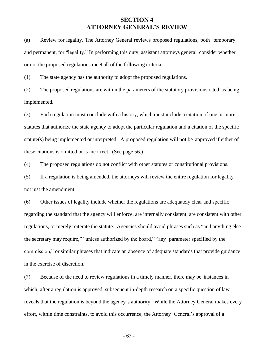## **SECTION 4 ATTORNEY GENERAL'S REVIEW**

(a) Review for legality. The Attorney General reviews proposed regulations, both temporary and permanent, for "legality." In performing this duty, assistant attorneys general consider whether or not the proposed regulations meet all of the following criteria:

(1) The state agency has the authority to adopt the proposed regulations.

(2) The proposed regulations are within the parameters of the statutory provisions cited as being implemented.

(3) Each regulation must conclude with a history, which must include a citation of one or more statutes that authorize the state agency to adopt the particular regulation and a citation of the specific statute(s) being implemented or interpreted. A proposed regulation will not be approved if either of these citations is omitted or is incorrect. (See page 56.)

(4) The proposed regulations do not conflict with other statutes or constitutional provisions.

(5) If a regulation is being amended, the attorneys will review the entire regulation for legality – not just the amendment.

(6) Other issues of legality include whether the regulations are adequately clear and specific regarding the standard that the agency will enforce, are internally consistent, are consistent with other regulations, or merely reiterate the statute. Agencies should avoid phrases such as "and anything else the secretary may require," "unless authorized by the board," "any parameter specified by the commission," or similar phrases that indicate an absence of adequate standards that provide guidance in the exercise of discretion.

(7) Because of the need to review regulations in a timely manner, there may be instances in which, after a regulation is approved, subsequent in-depth research on a specific question of law reveals that the regulation is beyond the agency's authority. While the Attorney General makes every effort, within time constraints, to avoid this occurrence, the Attorney General's approval of a

- 67 -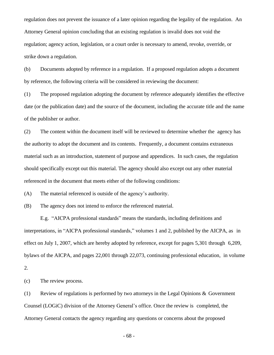regulation does not prevent the issuance of a later opinion regarding the legality of the regulation. An Attorney General opinion concluding that an existing regulation is invalid does not void the regulation; agency action, legislation, or a court order is necessary to amend, revoke, override, or strike down a regulation.

(b) Documents adopted by reference in a regulation. If a proposed regulation adopts a document by reference, the following criteria will be considered in reviewing the document:

(1) The proposed regulation adopting the document by reference adequately identifies the effective date (or the publication date) and the source of the document, including the accurate title and the name of the publisher or author.

(2) The content within the document itself will be reviewed to determine whether the agency has the authority to adopt the document and its contents. Frequently, a document contains extraneous material such as an introduction, statement of purpose and appendices. In such cases, the regulation should specifically except out this material. The agency should also except out any other material referenced in the document that meets either of the following conditions:

(A) The material referenced is outside of the agency's authority.

(B) The agency does not intend to enforce the referenced material.

E.g. "AICPA professional standards" means the standards, including definitions and interpretations, in "AICPA professional standards," volumes 1 and 2, published by the AICPA, as in effect on July 1, 2007, which are hereby adopted by reference, except for pages 5,301 through 6,209, bylaws of the AICPA, and pages 22,001 through 22,073, continuing professional education, in volume 2.

(c) The review process.

(1) Review of regulations is performed by two attorneys in the Legal Opinions & Government Counsel (LOGiC) division of the Attorney General's office. Once the review is completed, the Attorney General contacts the agency regarding any questions or concerns about the proposed

- 68 -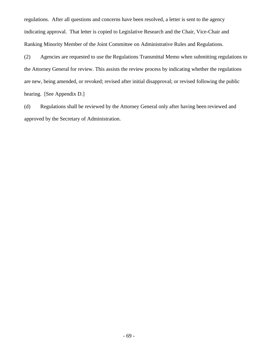regulations. After all questions and concerns have been resolved, a letter is sent to the agency indicating approval. That letter is copied to Legislative Research and the Chair, Vice-Chair and Ranking Minority Member of the Joint Committee on Administrative Rules and Regulations.

(2) Agencies are requested to use the Regulations Transmittal Memo when submitting regulations to the Attorney General for review. This assists the review process by indicating whether the regulations are new, being amended, or revoked; revised after initial disapproval; or revised following the public hearing. [See Appendix D.]

(d) Regulations shall be reviewed by the Attorney General only after having been reviewed and approved by the Secretary of Administration.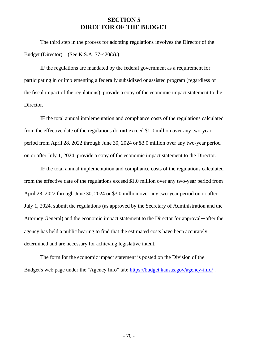## **SECTION 5 DIRECTOR OF THE BUDGET**

The third step in the process for adopting regulations involves the Director of the Budget (Director). (See K.S.A. 77-420(a).)

IF the regulations are mandated by the federal government as a requirement for participating in or implementing a federally subsidized or assisted program (regardless of the fiscal impact of the regulations), provide a copy of the economic impact statement to the Director.

IF the total annual implementation and compliance costs of the regulations calculated from the effective date of the regulations do **not** exceed \$1.0 million over any two-year period from April 28, 2022 through June 30, 2024 or \$3.0 million over any two-year period on or after July 1, 2024, provide a copy of the economic impact statement to the Director.

IF the total annual implementation and compliance costs of the regulations calculated from the effective date of the regulations exceed \$1.0 million over any two-year period from April 28, 2022 through June 30, 2024 or \$3.0 million over any two-year period on or after July 1, 2024, submit the regulations (as approved by the Secretary of Administration and the Attorney General) and the economic impact statement to the Director for approval—after the agency has held a public hearing to find that the estimated costs have been accurately determined and are necessary for achieving legislative intent.

The form for the economic impact statement is posted on the Division of the Budget's web page under the "Agency Info" tab: <https://budget.kansas.gov/agency-info/>.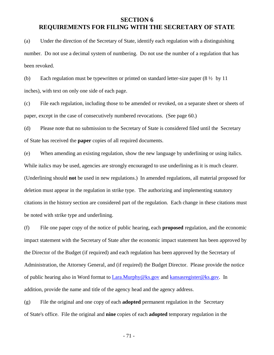# **SECTION 6 REQUIREMENTS FOR FILING WITH THE SECRETARY OF STATE**

(a) Under the direction of the Secretary of State, identify each regulation with a distinguishing number. Do not use a decimal system of numbering. Do not use the number of a regulation that has been revoked.

(b) Each regulation must be typewritten or printed on standard letter-size paper  $(8 \frac{1}{2})$  by 11 inches), with text on only one side of each page.

(c) File each regulation, including those to be amended or revoked, on a separate sheet or sheets of paper, except in the case of consecutively numbered revocations. (See page 60.)

(d) Please note that no submission to the Secretary of State is considered filed until the Secretary of State has received the **paper** copies of all required documents.

(e) When amending an existing regulation, show the new language by underlining or using italics. While italics may be used, agencies are strongly encouraged to use underlining as it is much clearer. (Underlining should **not** be used in new regulations.) In amended regulations, all material proposed for deletion must appear in the regulation in strike type. The authorizing and implementing statutory citations in the history section are considered part of the regulation. Each change in these citations must be noted with strike type and underlining.

(f) File one paper copy of the notice of public hearing, each **proposed** regulation, and the economic impact statement with the Secretary of State after the economic impact statement has been approved by the Director of the Budget (if required) and each regulation has been approved by the Secretary of Administration, the Attorney General, and (if required) the Budget Director. Please provide the notice of public hearing also in Word format to Lara.Murphy@ks.gov and [kansasregister@ks.gov.](mailto:kansasregister@ks.gov) In addition, provide the name and title of the agency head and the agency address.

(g) File the original and one copy of each **adopted** permanent regulation in the Secretary of State's office. File the original and **nine** copies of each **adopted** temporary regulation in the

- 71 -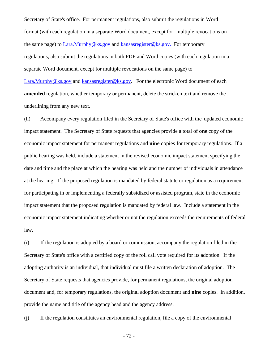Secretary of State's office. For permanent regulations, also submit the regulations in Word format (with each regulation in a separate Word document, except for multiple revocations on the same page) to Lara.Murphy@ks.gov and [kansasregister@ks.gov.](mailto:kansasregister@ks.gov) For temporary regulations, also submit the regulations in both PDF and Word copies (with each regulation in a separate Word document, except for multiple revocations on the same page) to [Lara.Murphy@ks.gov](mailto:Lara.Murphy@ks.gov) and [kansasregister@ks.gov.](mailto:kansasregister@ks.gov) For the electronic Word document of each **amended** regulation, whether temporary or permanent, delete the stricken text and remove the underlining from any new text.

(h) Accompany every regulation filed in the Secretary of State's office with the updated economic impact statement. The Secretary of State requests that agencies provide a total of **one** copy of the economic impact statement for permanent regulations and **nine** copies for temporary regulations. If a public hearing was held, include a statement in the revised economic impact statement specifying the date and time and the place at which the hearing was held and the number of individuals in attendance at the hearing. If the proposed regulation is mandated by federal statute or regulation as a requirement for participating in or implementing a federally subsidized or assisted program, state in the economic impact statement that the proposed regulation is mandated by federal law. Include a statement in the economic impact statement indicating whether or not the regulation exceeds the requirements of federal law.

(i) If the regulation is adopted by a board or commission, accompany the regulation filed in the Secretary of State's office with a certified copy of the roll call vote required for its adoption. If the adopting authority is an individual, that individual must file a written declaration of adoption. The Secretary of State requests that agencies provide, for permanent regulations, the original adoption document and, for temporary regulations, the original adoption document and **nine** copies. In addition, provide the name and title of the agency head and the agency address.

(j) If the regulation constitutes an environmental regulation, file a copy of the environmental

- 72 -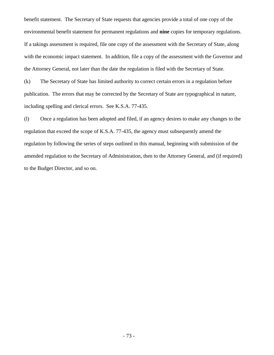benefit statement. The Secretary of State requests that agencies provide a total of one copy of the environmental benefit statement for permanent regulations and **nine** copies for temporary regulations. If a takings assessment is required, file one copy of the assessment with the Secretary of State, along with the economic impact statement. In addition, file a copy of the assessment with the Governor and the Attorney General, not later than the date the regulation is filed with the Secretary of State.

(k) The Secretary of State has limited authority to correct certain errors in a regulation before publication. The errors that may be corrected by the Secretary of State are typographical in nature, including spelling and clerical errors. See K.S.A. 77-435.

(l) Once a regulation has been adopted and filed, if an agency desires to make any changes to the regulation that exceed the scope of K.S.A. 77-435, the agency must subsequently amend the regulation by following the series of steps outlined in this manual, beginning with submission of the amended regulation to the Secretary of Administration, then to the Attorney General, and (if required) to the Budget Director, and so on.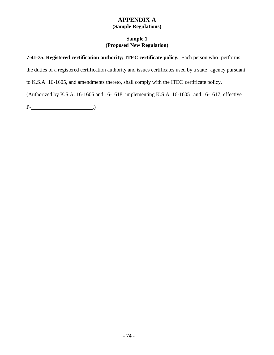## **APPENDIX A (Sample Regulations)**

### **Sample 1 (Proposed New Regulation)**

### **7-41-35. Registered certification authority; ITEC certificate policy.** Each person who performs

the duties of a registered certification authority and issues certificates used by a state agency pursuant

to K.S.A. 16-1605, and amendments thereto, shall comply with the ITEC certificate policy.

(Authorized by K.S.A. 16-1605 and 16-1618; implementing K.S.A. 16-1605 and 16-1617; effective

P- .)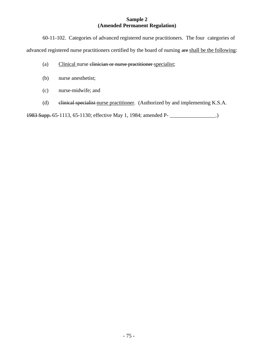#### **Sample 2 (Amended Permanent Regulation)**

60-11-102. Categories of advanced registered nurse practitioners. The four categories of advanced registered nurse practitioners certified by the board of nursing are shall be the following:

- (a) Clinical nurse clinician or nurse practitioner specialist;
- (b) nurse anesthetist;
- (c) nurse-midwife; and
- (d) elinical specialist nurse practitioner. (Authorized by and implementing K.S.A.

1983 Supp. 65-1113, 65-1130; effective May 1, 1984; amended P- \_\_\_\_\_\_\_\_\_\_\_\_\_\_\_\_\_.)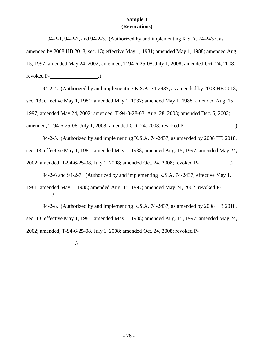#### **Sample 3 (Revocations)**

94-2-1, 94-2-2, and 94-2-3. (Authorized by and implementing K.S.A. 74-2437, as

amended by 2008 HB 2018, sec. 13; effective May 1, 1981; amended May 1, 1988; amended Aug. 15, 1997; amended May 24, 2002; amended, T-94-6-25-08, July 1, 2008; amended Oct. 24, 2008; revoked P- .)

94-2-4. (Authorized by and implementing K.S.A. 74-2437, as amended by 2008 HB 2018, sec. 13; effective May 1, 1981; amended May 1, 1987; amended May 1, 1988; amended Aug. 15, 1997; amended May 24, 2002; amended, T-94-8-28-03, Aug. 28, 2003; amended Dec. 5, 2003; amended, T-94-6-25-08, July 1, 2008; amended Oct. 24, 2008; revoked P- .)

94-2-5. (Authorized by and implementing K.S.A. 74-2437, as amended by 2008 HB 2018, sec. 13; effective May 1, 1981; amended May 1, 1988; amended Aug. 15, 1997; amended May 24, 2002; amended, T-94-6-25-08, July 1, 2008; amended Oct. 24, 2008; revoked P-\_\_\_\_\_\_\_\_\_\_\_ .)

94-2-6 and 94-2-7. (Authorized by and implementing K.S.A. 74-2437; effective May 1,

1981; amended May 1, 1988; amended Aug. 15, 1997; amended May 24, 2002; revoked P-  $\_\_$ .)

94-2-8. (Authorized by and implementing K.S.A. 74-2437, as amended by 2008 HB 2018, sec. 13; effective May 1, 1981; amended May 1, 1988; amended Aug. 15, 1997; amended May 24, 2002; amended, T-94-6-25-08, July 1, 2008; amended Oct. 24, 2008; revoked P-

.)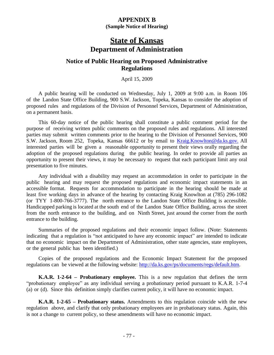### **APPENDIX B**

**(Sample Notice of Hearing)**

# **State of Kansas Department of Administration**

## **Notice of Public Hearing on Proposed Administrative Regulations**

April 15, 2009

A public hearing will be conducted on Wednesday, July 1, 2009 at 9:00 a.m. in Room 106 of the Landon State Office Building, 900 S.W. Jackson, Topeka, Kansas to consider the adoption of proposed rules and regulations of the Division of Personnel Services, Department of Administration, on a permanent basis.

This 60-day notice of the public hearing shall constitute a public comment period for the purpose of receiving written public comments on the proposed rules and regulations. All interested parties may submit written comments prior to the hearing to the Division of Personnel Services, 900 S.W. Jackson, Room 252, Topeka, Kansas 66612 or by email to [Kraig.Knowlton@da.ks.gov.](mailto:Kraig.Knowlton@da.ks.gov) All interested parties will be given a reasonable opportunity to present their views orally regarding the adoption of the proposed regulations during the public hearing. In order to provide all parties an opportunity to present their views, it may be necessary to request that each participant limit any oral presentation to five minutes.

Any individual with a disability may request an accommodation in order to participate in the public hearing and may request the proposed regulations and economic impact statements in an accessible format. Requests for accommodation to participate in the hearing should be made at least five working days in advance of the hearing by contacting Kraig Knowlton at (785) 296-1082 (or TYY 1-800-766-3777). The north entrance to the Landon State Office Building is accessible. Handicapped parking is located at the south end of the Landon State Office Building, across the street from the north entrance to the building, and on Ninth Street, just around the corner from the north entrance to the building.

Summaries of the proposed regulations and their economic impact follow. (Note: Statements indicating that a regulation is "not anticipated to have any economic impact" are intended to indicate that no economic impact on the Department of Administration, other state agencies, state employees, or the general public has been identified.)

Copies of the proposed regulations and the Economic Impact Statement for the proposed regulations can be viewed at the following website: [http://da.ks.gov/ps/documents/regs/default.htm.](http://da.ks.gov/ps/documents/regs/default.htm)

**K.A.R. 1-2-64 – Probationary employee.** This is a new regulation that defines the term "probationary employee" as any individual serving a probationary period pursuant to K.A.R. 1-7-4 (a) or (d). Since this definition simply clarifies current policy, it will have no economic impact.

**K.A.R. 1-2-65 – Probationary status.** Amendments to this regulation coincide with the new regulation above, and clarify that only probationary employees are in probationary status. Again, this is not a change to current policy, so these amendments will have no economic impact.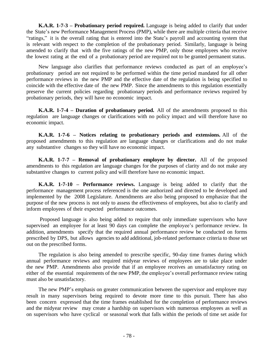**K.A.R. 1-7-3 – Probationary period required.** Language is being added to clarify that under the State's new Performance Management Process (PMP), while there are multiple criteria that receive "ratings," it is the overall rating that is entered into the State's payroll and accounting system that is relevant with respect to the completion of the probationary period. Similarly, language is being amended to clarify that with the five ratings of the new PMP, only those employees who receive the lowest rating at the end of a probationary period are required not to be granted permanent status.

New language also clarifies that performance reviews conducted as part of an employee's probationary period are not required to be performed within the time period mandated for all other performance reviews in the new PMP and the effective date of the regulation is being specified to coincide with the effective date of the new PMP. Since the amendments to this regulation essentially preserve the current policies regarding probationary periods and performance reviews required by probationary periods, they will have no economic impact.

**K.A.R. 1-7-4 – Duration of probationary period.** All of the amendments proposed to this regulation are language changes or clarifications with no policy impact and will therefore have no economic impact.

**K.A.R. 1-7-6 – Notices relating to probationary periods and extensions.** All of the proposed amendments to this regulation are language changes or clarifications and do not make any substantive changes so they will have no economic impact.

**K.A.R. 1-7-7 – Removal of probationary employee by director.** All of the proposed amendments to this regulation are language changes for the purposes of clarity and do not make any substantive changes to current policy and will therefore have no economic impact.

**K.A.R. 1-7-10 – Performance reviews.** Language is being added to clarify that the performance management process referenced is the one authorized and directed to be developed and implemented by the 2008 Legislature. Amendments are also being proposed to emphasize that the purpose of the new process is not only to assess the effectiveness of employees, but also to clarify and inform employees of their expected performance outcomes.

Proposed language is also being added to require that only immediate supervisors who have supervised an employee for at least 90 days can complete the employee's performance review. In addition, amendments specify that the required annual performance review be conducted on forms prescribed by DPS, but allows agencies to add additional, job-related performance criteria to those set out on the prescribed forms.

The regulation is also being amended to prescribe specific, 90-day time frames during which annual performance reviews and required midyear reviews of employees are to take place under the new PMP. Amendments also provide that if an employee receives an unsatisfactory rating on either of the essential requirements of the new PMP, the employee's overall performance review rating must also be unsatisfactory.

The new PMP's emphasis on greater communication between the supervisor and employee may result in many supervisors being required to devote more time to this pursuit. There has also been concern expressed that the time frames established for the completion of performance reviews and the midyear review may create a hardship on supervisors with numerous employees as well as on supervisors who have cyclical or seasonal work that falls within the periods of time set aside for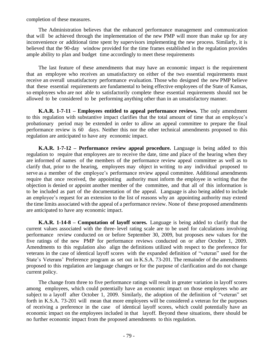completion of these measures.

The Administration believes that the enhanced performance management and communication that will be achieved through the implementation of the new PMP will more than make up for any inconvenience or additional time spent by supervisors implementing the new process. Similarly, it is believed that the 90-day window provided for the time frames established in the regulation provides ample ability to plan and budget time accordingly to meet these requirements

The last feature of these amendments that may have an economic impact is the requirement that an employee who receives an unsatisfactory on either of the two essential requirements must receive an overall unsatisfactory performance evaluation. Those who designed the new PMP believe that these essential requirements are fundamental to being effective employees of the State of Kansas, so employees who are not able to satisfactorily complete these essential requirements should not be allowed to be considered to be performing anything other than in an unsatisfactory manner.

**K.A.R. 1-7-11 – Employees entitled to appeal performance reviews.** The only amendment to this regulation with substantive impact clarifies that the total amount of time that an employee's probationary period may be extended in order to allow an appeal committee to prepare the final performance review is 60 days. Neither this nor the other technical amendments proposed to this regulation are anticipated to have any economic impact.

**K.A.R. 1-7-12 – Performance review appeal procedure.** Language is being added to this regulation to require that employees are to receive the date, time and place of the hearing when they are informed of names of the members of the performance review appeal committee as well as to clarify that, prior to the hearing, employees may object in writing to any individual proposed to serve as a member of the employee's performance review appeal committee. Additional amendments require that once received, the appointing authority must inform the employee in writing that the objection is denied or appoint another member of the committee, and that all of this information is to be included as part of the documentation of the appeal. Language is also being added to include an employee's request for an extension to the list of reasons why an appointing authority may extend the time limits associated with the appeal of a performance review. None of these proposed amendments are anticipated to have any economic impact.

**K.A.R. 1-14-8 – Computation of layoff scores.** Language is being added to clarify that the current values associated with the three- level rating scale are to be used for calculations involving performance review conducted on or before September 30, 2009, but proposes new values for the five ratings of the new PMP for performance reviews conducted on or after October 1, 2009. Amendments to this regulation also align the definitions utilized with respect to the preference for veterans in the case of identical layoff scores with the expanded definition of "veteran" used for the State's Veterans' Preference program as set out in K.S.A. 73-201. The remainder of the amendments proposed to this regulation are language changes or for the purpose of clarification and do not change current policy.

The change from three to five performance ratings will result in greater variation in layoff scores among employees, which could potentially have an economic impact on those employees who are subject to a layoff after October 1, 2009. Similarly, the adoption of the definition of "veteran" set forth in K.S.A. 73-201 will mean that more employees will be considered a veteran for the purposes of receiving a preference in the case of identical layoff scores, which could potentially have an economic impact on the employees included in that layoff. Beyond these situations, there should be no further economic impact from the proposed amendments to this regulation.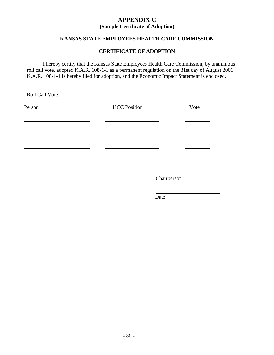### **APPENDIX C (Sample Certificate of Adoption)**

### **KANSAS STATE EMPLOYEES HEALTH CARE COMMISSION**

#### **CERTIFICATE OF ADOPTION**

I hereby certify that the Kansas State Employees Health Care Commission, by unanimous roll call vote, adopted K.A.R. 108-1-1 as a permanent regulation on the 31st day of August 2001. K.A.R. 108-1-1 is hereby filed for adoption, and the Economic Impact Statement is enclosed.

Roll Call Vote:

| Person | <b>HCC Position</b> | Vote |
|--------|---------------------|------|
|        |                     |      |
|        |                     |      |
|        |                     |      |
|        |                     |      |
|        |                     |      |
|        |                     |      |

**Chairperson** 

Date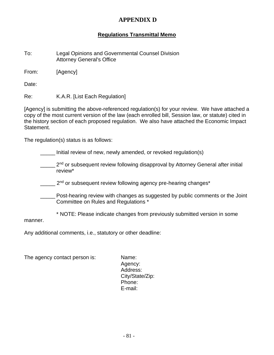## **APPENDIX D**

## **Regulations Transmittal Memo**

To: Legal Opinions and Governmental Counsel Division Attorney General's Office

From: [Agency]

Date:

Re: K.A.R. [List Each Regulation]

[Agency] is submitting the above-referenced regulation(s) for your review. We have attached a copy of the most current version of the law (each enrolled bill, Session law, or statute) cited in the history section of each proposed regulation. We also have attached the Economic Impact Statement.

The regulation(s) status is as follows:

Initial review of new, newly amended, or revoked regulation(s)

- <sub>\_\_\_\_\_</sub> 2<sup>nd</sup> or subsequent review following disapproval by Attorney General after initial review\*
- 2<sup>nd</sup> or subsequent review following agency pre-hearing changes\*
- \_\_\_\_\_ Post-hearing review with changes as suggested by public comments or the Joint Committee on Rules and Regulations \*
- \* NOTE: Please indicate changes from previously submitted version in some

manner.

Any additional comments, i.e., statutory or other deadline:

The agency contact person is: Name:

Agency: Address: City/State/Zip: Phone: E-mail: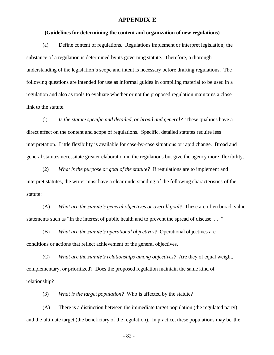#### **APPENDIX E**

#### **(Guidelines for determining the content and organization of new regulations)**

(a) Define content of regulations. Regulations implement or interpret legislation; the substance of a regulation is determined by its governing statute. Therefore, a thorough understanding of the legislation's scope and intent is necessary before drafting regulations. The following questions are intended for use as informal guides in compiling material to be used in a regulation and also as tools to evaluate whether or not the proposed regulation maintains a close link to the statute.

(l) *Is the statute specific and detailed, or broad and general?* These qualities have a direct effect on the content and scope of regulations. Specific, detailed statutes require less interpretation. Little flexibility is available for case-by-case situations or rapid change. Broad and general statutes necessitate greater elaboration in the regulations but give the agency more flexibility.

(2) *What is the purpose or goal of the statute?* If regulations are to implement and interpret statutes, the writer must have a clear understanding of the following characteristics of the statute:

(A) *What are the statute's general objectives or overall goal?* These are often broad value statements such as "In the interest of public health and to prevent the spread of disease. . . ."

(B) *What are the statute's operational objectives?* Operational objectives are conditions or actions that reflect achievement of the general objectives.

(C) *What are the statute's relationships among objectives?* Are they of equal weight, complementary, or prioritized? Does the proposed regulation maintain the same kind of relationship?

(3) *What is the target population?* Who is affected by the statute?

(A) There is a distinction between the immediate target population (the regulated party) and the ultimate target (the beneficiary of the regulation). In practice, these populations may be the

- 82 -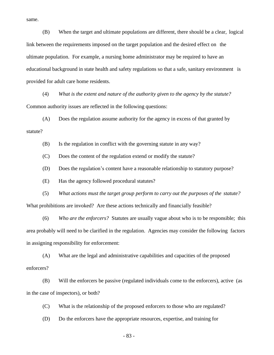same.

(B) When the target and ultimate populations are different, there should be a clear, logical link between the requirements imposed on the target population and the desired effect on the ultimate population. For example, a nursing home administrator may be required to have an educational background in state health and safety regulations so that a safe, sanitary environment is provided for adult care home residents.

(4) *What is the extent and nature of the authority given to the agency by the statute?* Common authority issues are reflected in the following questions:

(A) Does the regulation assume authority for the agency in excess of that granted by statute?

(B) Is the regulation in conflict with the governing statute in any way?

(C) Does the content of the regulation extend or modify the statute?

(D) Does the regulation's content have a reasonable relationship to statutory purpose?

(E) Has the agency followed procedural statutes?

(5) *What actions must the target group perform to carry out the purposes of the statute?* What prohibitions are invoked? Are these actions technically and financially feasible?

(6) *Who are the enforcers?* Statutes are usually vague about who is to be responsible; this area probably will need to be clarified in the regulation. Agencies may consider the following factors in assigning responsibility for enforcement:

(A) What are the legal and administrative capabilities and capacities of the proposed enforcers?

(B) Will the enforcers be passive (regulated individuals come to the enforcers), active (as in the case of inspectors), or both?

(C) What is the relationship of the proposed enforcers to those who are regulated?

(D) Do the enforcers have the appropriate resources, expertise, and training for

- 83 -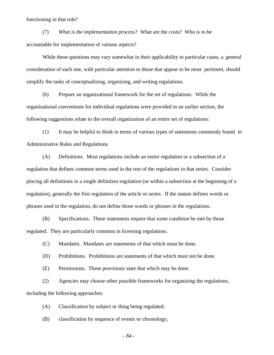functioning in that role?

(7) *What is the implementation process?* What are the costs? Who is to be accountable for implementation of various aspects?

While these questions may vary somewhat in their applicability to particular cases, a general consideration of each one, with particular attention to those that appear to be most pertinent, should simplify the tasks of conceptualizing, organizing, and writing regulations.

(b) Prepare an organizational framework for the set of regulations. While the organizational conventions for individual regulations were provided in an earlier section, the following suggestions relate to the overall organization of an entire set of regulations:

(1) It may be helpful to think in terms of various types of statements commonly found in Administrative Rules and Regulations.

(A) Definitions. Most regulations include an entire regulation or a subsection of a regulation that defines common terms used in the rest of the regulations in that series. Consider placing all definitions in a single definition regulation (or within a subsection at the beginning of a regulation), generally the first regulation of the article or series. If the statute defines words or phrases used in the regulation, do not define those words or phrases in the regulations.

(B) Specifications. These statements require that some condition be met by those regulated. They are particularly common in licensing regulations.

(C) Mandates. Mandates are statements of that which must be done.

(D) Prohibitions. Prohibitions are statements of that which must not be done.

(E) Permissions. These provisions state that which may be done.

(2) Agencies may choose other possible frameworks for organizing the regulations, including the following approaches:

(A) Classification by subject or thing being regulated;

(B) classification by sequence of events or chronology;

- 84 -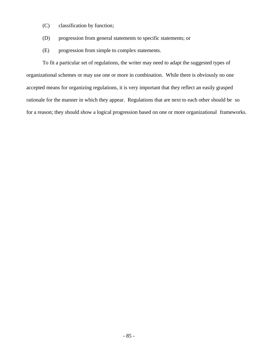- (C) classification by function;
- (D) progression from general statements to specific statements; or
- (E) progression from simple to complex statements.

To fit a particular set of regulations, the writer may need to adapt the suggested types of organizational schemes or may use one or more in combination. While there is obviously no one accepted means for organizing regulations, it is very important that they reflect an easily grasped rationale for the manner in which they appear. Regulations that are next to each other should be so for a reason; they should show a logical progression based on one or more organizational frameworks.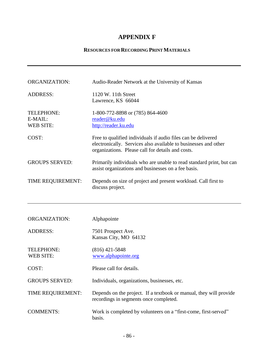## **APPENDIX F**

### **RESOURCES FOR RECORDING PRINT MATERIALS**

| <b>ORGANIZATION:</b>                      | Audio-Reader Network at the University of Kansas                                                                                                                                      |
|-------------------------------------------|---------------------------------------------------------------------------------------------------------------------------------------------------------------------------------------|
| <b>ADDRESS:</b>                           | 1120 W. 11th Street<br>Lawrence, KS 66044                                                                                                                                             |
| TELEPHONE:<br>E-MAIL:<br><b>WEB SITE:</b> | 1-800-772-8898 or (785) 864-4600<br>reader@ku.edu<br>http://reader.ku.edu                                                                                                             |
| COST:                                     | Free to qualified individuals if audio files can be delivered<br>electronically. Services also available to businesses and other<br>organizations. Please call for details and costs. |
| <b>GROUPS SERVED:</b>                     | Primarily individuals who are unable to read standard print, but can<br>assist organizations and businesses on a fee basis.                                                           |
| TIME REQUIREMENT:                         | Depends on size of project and present workload. Call first to<br>discuss project.                                                                                                    |
|                                           |                                                                                                                                                                                       |
|                                           |                                                                                                                                                                                       |
| <b>ORGANIZATION:</b>                      | Alphapointe                                                                                                                                                                           |
| <b>ADDRESS:</b>                           | 7501 Prospect Ave.<br>Kansas City, MO 64132                                                                                                                                           |
| TELEPHONE:<br><b>WEB SITE:</b>            | $(816)$ 421-5848<br>www.alphapointe.org                                                                                                                                               |
| COST:                                     | Please call for details.                                                                                                                                                              |
| <b>GROUPS SERVED:</b>                     | Individuals, organizations, businesses, etc.                                                                                                                                          |
| TIME REQUIREMENT:                         | Depends on the project. If a textbook or manual, they will provide<br>recordings in segments once completed.                                                                          |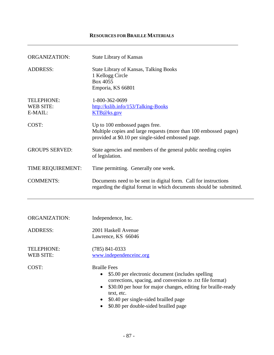## **RESOURCES FOR BRAILLE MATERIALS**

| <b>ORGANIZATION:</b>                             | <b>State Library of Kansas</b>                                                                                                                                                                                                                                                                                           |
|--------------------------------------------------|--------------------------------------------------------------------------------------------------------------------------------------------------------------------------------------------------------------------------------------------------------------------------------------------------------------------------|
| <b>ADDRESS:</b>                                  | <b>State Library of Kansas, Talking Books</b><br>1 Kellogg Circle<br>Box 4055<br>Emporia, KS 66801                                                                                                                                                                                                                       |
| <b>TELEPHONE:</b><br><b>WEB SITE:</b><br>E-MAIL: | 1-800-362-0699<br>http://kslib.info/153/Talking-Books<br>KTB@ks.gov                                                                                                                                                                                                                                                      |
| COST:                                            | Up to 100 embossed pages free.<br>Multiple copies and large requests (more than 100 embossed pages)<br>provided at \$0.10 per single-sided embossed page.                                                                                                                                                                |
| <b>GROUPS SERVED:</b>                            | State agencies and members of the general public needing copies<br>of legislation.                                                                                                                                                                                                                                       |
| TIME REQUIREMENT:                                | Time permitting. Generally one week.                                                                                                                                                                                                                                                                                     |
| <b>COMMENTS:</b>                                 | Documents need to be sent in digital form. Call for instructions<br>regarding the digital format in which documents should be submitted.                                                                                                                                                                                 |
|                                                  |                                                                                                                                                                                                                                                                                                                          |
| <b>ORGANIZATION:</b>                             | Independence, Inc.                                                                                                                                                                                                                                                                                                       |
| <b>ADDRESS:</b>                                  | 2001 Haskell Avenue<br>Lawrence, KS 66046                                                                                                                                                                                                                                                                                |
| <b>TELEPHONE:</b><br>WEB SITE:                   | $(785)$ 841-0333<br>www.independenceinc.org                                                                                                                                                                                                                                                                              |
| COST:                                            | <b>Braille Fees</b><br>\$5.00 per electronic document (includes spelling<br>$\bullet$<br>corrections, spacing, and conversion to .txt file format)<br>\$30.00 per hour for major changes, editing for braille-ready<br>٠<br>text, etc.<br>\$0.40 per single-sided brailled page<br>\$0.80 per double-sided brailled page |